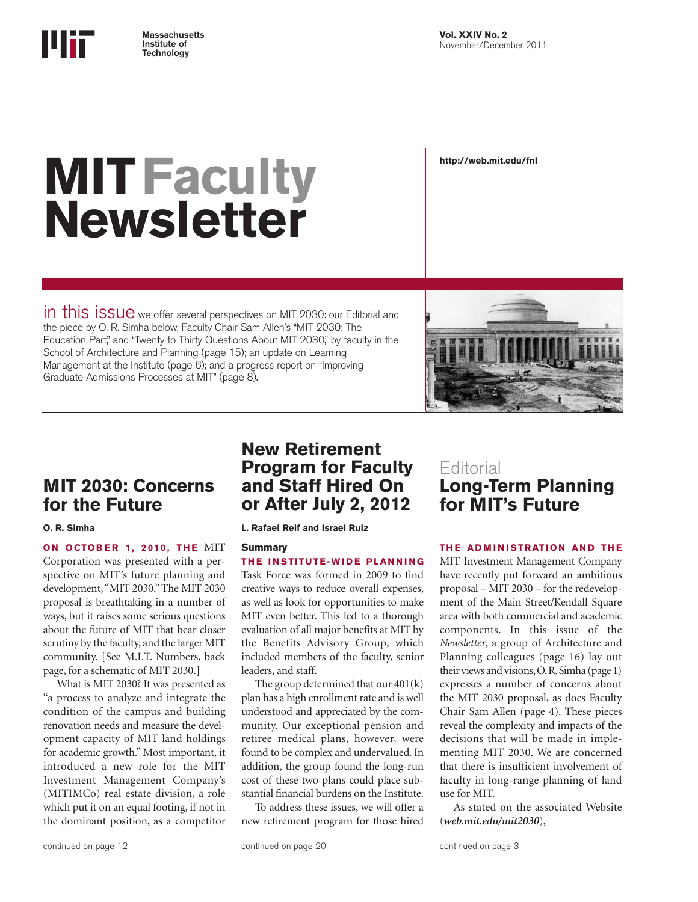

# **MITFaculty Newsletter**

**http://web.mit.edu/fnl**

in this issue we offer several perspectives on MIT 2030: our Editorial and the piece by O. R. Simha below, Faculty Chair Sam Allen's "MIT 2030: The Education Part," and "Twenty to Thirty Questions About MIT 2030," by faculty in the School of Architecture and Planning (page 15); an update on Learning Management at the Institute (page 6); and a progress report on "Improving Graduate Admissions Processes at MIT" (page 8).



# **MIT 2030: Concerns for the Future**

**ON OCTOBER 1, 2010, THE MIT** Corporation was presented with a perspective on MIT's future planning and development, "MIT 2030." The MIT 2030 proposal is breathtaking in a number of ways, but it raises some serious questions about the future of MIT that bear closer scrutiny by the faculty, and the larger MIT community. [See M.I.T. Numbers, back page, for a schematic of MIT 2030.]

What is MIT 2030? It was presented as "a process to analyze and integrate the condition of the campus and building renovation needs and measure the development capacity of MIT land holdings for academic growth." Most important, it introduced a new role for the MIT Investment Management Company's (MITIMCo) real estate division, a role which put it on an equal footing, if not in the dominant position, as a competitor

# **New Retirement Program for Faculty and Staff Hired On or After July 2, 2012**

**O. R. Simha L. Rafael Reif and Israel Ruiz**

### **Summary**

**THE INSTITUTE-WIDE PLANNING** Task Force was formed in 2009 to find creative ways to reduce overall expenses, as well as look for opportunities to make MIT even better. This led to a thorough evaluation of all major benefits at MIT by the Benefits Advisory Group, which included members of the faculty, senior leaders, and staff.

The group determined that our 401(k) plan has a high enrollment rate and is well understood and appreciated by the community. Our exceptional pension and retiree medical plans, however, were found to be complex and undervalued. In addition, the group found the long-run cost of these two plans could place substantial financial burdens on the Institute.

To address these issues, we will offer a new retirement program for those hired

# **Editorial Long-Term Planning for MIT's Future**

### **THE ADMINISTRATION AND THE**

MIT Investment Management Company have recently put forward an ambitious proposal – MIT 2030 – for the redevelopment of the Main Street/Kendall Square area with both commercial and academic components. In this issue of the *Newsletter*, a group of Architecture and Planning colleagues (page 16) lay out their views and visions, O. R. Simha (page 1) expresses a number of concerns about the MIT 2030 proposal, as does Faculty Chair Sam Allen (page 4). These pieces reveal the complexity and impacts of the decisions that will be made in implementing MIT 2030. We are concerned that there is insufficient involvement of faculty in long-range planning of land use for MIT.

As stated on the associated Website (*web.mit.edu/mit2030*),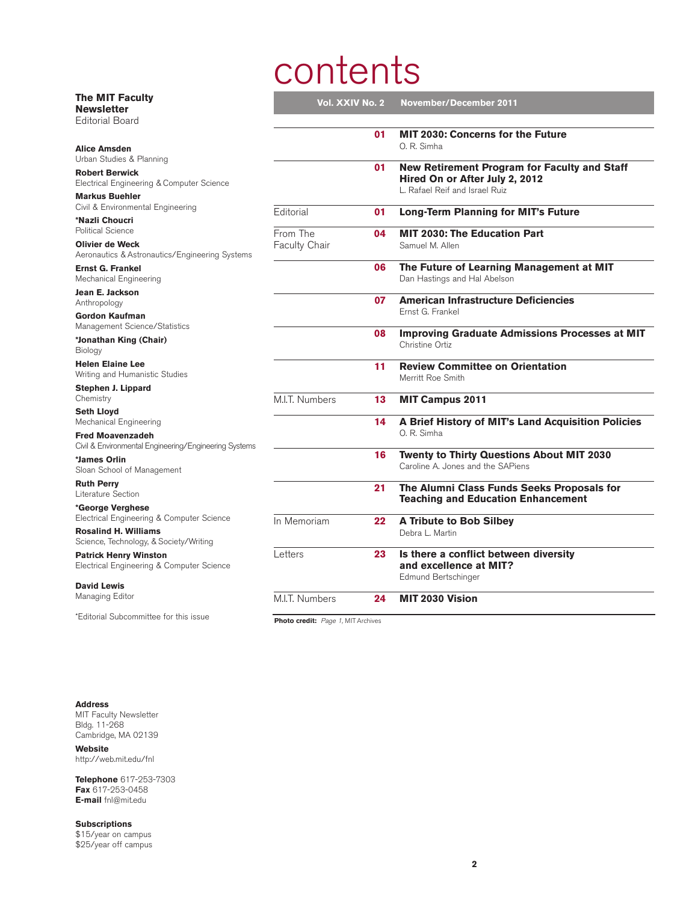# contents

| The MIT Faculty<br><b>Newsletter</b>                                      | Vol. XXIV No. 2                               |    | <b>November/December 2011</b>                                                                                           |
|---------------------------------------------------------------------------|-----------------------------------------------|----|-------------------------------------------------------------------------------------------------------------------------|
| <b>Editorial Board</b>                                                    |                                               |    |                                                                                                                         |
| <b>Alice Amsden</b>                                                       |                                               | 01 | <b>MIT 2030: Concerns for the Future</b><br>O. R. Simha                                                                 |
| Urban Studies & Planning                                                  |                                               | 01 |                                                                                                                         |
| <b>Robert Berwick</b><br>Electrical Engineering & Computer Science        |                                               |    | <b>New Retirement Program for Faculty and Staff</b><br>Hired On or After July 2, 2012<br>L. Rafael Reif and Israel Ruiz |
| <b>Markus Buehler</b><br>Civil & Environmental Engineering                |                                               |    |                                                                                                                         |
| *Nazli Choucri                                                            | Editorial                                     | 01 | <b>Long-Term Planning for MIT's Future</b>                                                                              |
| Political Science                                                         | From The                                      | 04 | <b>MIT 2030: The Education Part</b>                                                                                     |
| <b>Olivier de Weck</b><br>Aeronautics & Astronautics/Engineering Systems  | Faculty Chair                                 |    | Samuel M. Allen                                                                                                         |
| <b>Ernst G. Frankel</b><br>Mechanical Engineering                         |                                               | 06 | The Future of Learning Management at MIT<br>Dan Hastings and Hal Abelson                                                |
| Jean E. Jackson<br>Anthropology                                           |                                               | 07 | <b>American Infrastructure Deficiencies</b>                                                                             |
| Gordon Kaufman                                                            |                                               |    | Ernst G. Frankel                                                                                                        |
| Management Science/Statistics<br>*Jonathan King (Chair)                   |                                               | 08 | <b>Improving Graduate Admissions Processes at MIT</b><br>Christine Ortiz                                                |
| Biology<br><b>Helen Elaine Lee</b>                                        |                                               |    |                                                                                                                         |
| Writing and Humanistic Studies                                            |                                               | 11 | <b>Review Committee on Orientation</b><br>Merritt Roe Smith                                                             |
| Stephen J. Lippard<br>Chemistry                                           | M.I.T. Numbers                                | 13 | <b>MIT Campus 2011</b>                                                                                                  |
| <b>Seth Lloyd</b>                                                         |                                               |    |                                                                                                                         |
| Mechanical Engineering<br><b>Fred Moavenzadeh</b>                         |                                               | 14 | A Brief History of MIT's Land Acquisition Policies<br>O. R. Simha                                                       |
| Civil & Environmental Engineering/Engineering Systems                     |                                               |    |                                                                                                                         |
| *James Orlin<br>Sloan School of Management                                |                                               | 16 | Twenty to Thirty Questions About MIT 2030<br>Caroline A. Jones and the SAPiens                                          |
| <b>Ruth Perry</b><br>Literature Section                                   |                                               | 21 | The Alumni Class Funds Seeks Proposals for<br><b>Teaching and Education Enhancement</b>                                 |
| *George Verghese<br>Electrical Engineering & Computer Science             |                                               |    |                                                                                                                         |
| <b>Rosalind H. Williams</b>                                               | In Memoriam                                   | 22 | <b>A Tribute to Bob Silbey</b><br>Debra L. Martin                                                                       |
| Science, Technology, & Society/Writing                                    |                                               |    |                                                                                                                         |
| <b>Patrick Henry Winston</b><br>Electrical Engineering & Computer Science | Letters                                       | 23 | Is there a conflict between diversity<br>and excellence at MIT?                                                         |
| <b>David Lewis</b>                                                        |                                               |    | Edmund Bertschinger                                                                                                     |
| Managing Editor                                                           | M.I.T. Numbers                                | 24 | MIT 2030 Vision                                                                                                         |
| "Editorial Subcommittee for this issue                                    | <b>Dhoto cradit:</b> $D_{200}$ 1 MIT Archives |    |                                                                                                                         |

Photo credit: Page 1, MIT Archives

**Address**

MIT Faculty Newsletter Bldg. 11-268 Cambridge, MA 02139

**Website** http://web.mit.edu/fnl

**Telephone** 617-253-7303 **Fax** 617-253-0458 **E-mail** fnl@mit.edu

**Subscriptions** \$15/year on campus \$25/year off campus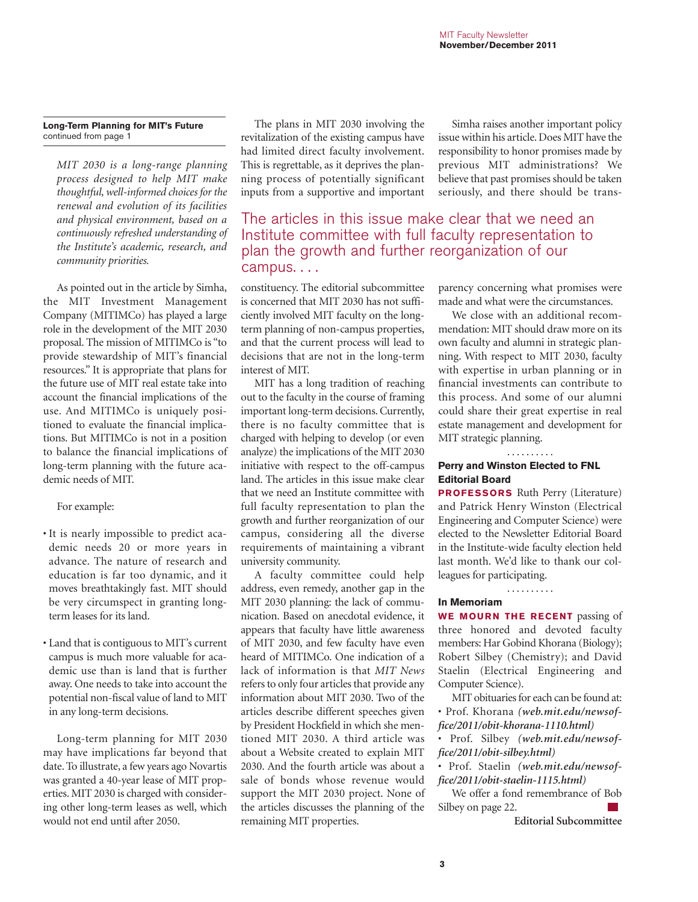### **Long-Term Planning for MIT's Future** continued from page 1

*MIT 2030 is a long-range planning process designed to help MIT make thoughtful, well-informed choices for the renewal and evolution of its facilities and physical environment, based on a continuously refreshed understanding of the Institute's academic, research, and community priorities.*

As pointed out in the article by Simha, the MIT Investment Management Company (MITIMCo) has played a large role in the development of the MIT 2030 proposal. The mission of MITIMCo is "to provide stewardship of MIT's financial resources." It is appropriate that plans for the future use of MIT real estate take into account the financial implications of the use. And MITIMCo is uniquely positioned to evaluate the financial implications. But MITIMCo is not in a position to balance the financial implications of long-term planning with the future academic needs of MIT.

### For example:

- It is nearly impossible to predict academic needs 20 or more years in advance. The nature of research and education is far too dynamic, and it moves breathtakingly fast. MIT should be very circumspect in granting longterm leases for its land.
- Land that is contiguous to MIT's current campus is much more valuable for academic use than is land that is further away. One needs to take into account the potential non-fiscal value of land to MIT in any long-term decisions.

Long-term planning for MIT 2030 may have implications far beyond that date. To illustrate, a few years ago Novartis was granted a 40-year lease of MIT properties. MIT 2030 is charged with considering other long-term leases as well, which would not end until after 2050.

The plans in MIT 2030 involving the revitalization of the existing campus have had limited direct faculty involvement. This is regrettable, as it deprives the planning process of potentially significant inputs from a supportive and important

Simha raises another important policy issue within his article. Does MIT have the responsibility to honor promises made by previous MIT administrations? We believe that past promises should be taken seriously, and there should be trans-

## The articles in this issue make clear that we need an Institute committee with full faculty representation to plan the growth and further reorganization of our campus. . . .

constituency. The editorial subcommittee is concerned that MIT 2030 has not sufficiently involved MIT faculty on the longterm planning of non-campus properties, and that the current process will lead to decisions that are not in the long-term interest of MIT.

MIT has a long tradition of reaching out to the faculty in the course of framing important long-term decisions. Currently, there is no faculty committee that is charged with helping to develop (or even analyze) the implications of the MIT 2030 initiative with respect to the off-campus land. The articles in this issue make clear that we need an Institute committee with full faculty representation to plan the growth and further reorganization of our campus, considering all the diverse requirements of maintaining a vibrant university community.

A faculty committee could help address, even remedy, another gap in the MIT 2030 planning: the lack of communication. Based on anecdotal evidence, it appears that faculty have little awareness of MIT 2030, and few faculty have even heard of MITIMCo. One indication of a lack of information is that *MIT News* refers to only four articles that provide any information about MIT 2030. Two of the articles describe different speeches given by President Hockfield in which she mentioned MIT 2030. A third article was about a Website created to explain MIT 2030. And the fourth article was about a sale of bonds whose revenue would support the MIT 2030 project. None of the articles discusses the planning of the remaining MIT properties.

parency concerning what promises were made and what were the circumstances.

We close with an additional recommendation: MIT should draw more on its own faculty and alumni in strategic planning. With respect to MIT 2030, faculty with expertise in urban planning or in financial investments can contribute to this process. And some of our alumni could share their great expertise in real estate management and development for MIT strategic planning.

### **Perry and Winston Elected to FNL Editorial Board**

. . . . . . . . . .

**PROFESSORS** Ruth Perry (Literature) and Patrick Henry Winston (Electrical Engineering and Computer Science) were elected to the Newsletter Editorial Board in the Institute-wide faculty election held last month. We'd like to thank our colleagues for participating.

. . . . . . . . . .

### **In Memoriam**

**WE MOURN THE RECENT** passing of three honored and devoted faculty members: Har Gobind Khorana (Biology); Robert Silbey (Chemistry); and David Staelin (Electrical Engineering and Computer Science).

MIT obituaries for each can be found at: • Prof. Khorana *(web.mit.edu/newsoffice/2011/obit-khorana-1110.html)*

• Prof. Silbey *(web.mit.edu/newsoffice/2011/obit-silbey.html)*

• Prof. Staelin *(web.mit.edu/newsoffice/2011/obit-staelin-1115.html)*

We offer a fond remembrance of Bob Silbey on page 22.

**Editorial Subcommittee**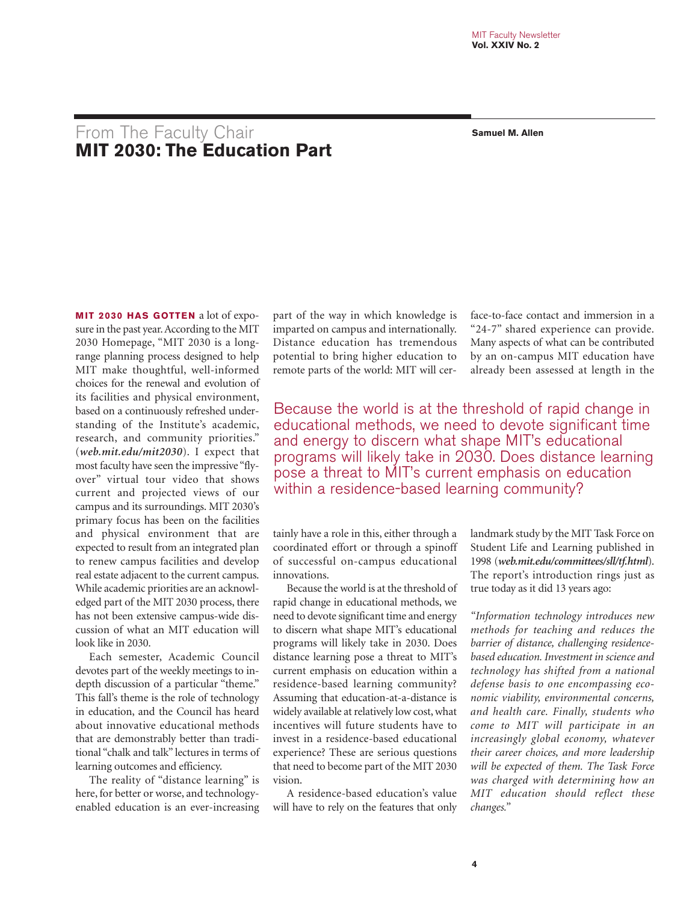# From The Faculty Chair **Samuel M. Allen MIT 2030: The Education Part**

**MIT 2030 HAS GOTTEN** a lot of exposure in the past year. According to the MIT 2030 Homepage, "MIT 2030 is a longrange planning process designed to help MIT make thoughtful, well-informed choices for the renewal and evolution of its facilities and physical environment, based on a continuously refreshed understanding of the Institute's academic, research, and community priorities." (*web.mit.edu/mit2030*). I expect that most faculty have seen the impressive "flyover" virtual tour video that shows current and projected views of our campus and its surroundings. MIT 2030's primary focus has been on the facilities and physical environment that are expected to result from an integrated plan to renew campus facilities and develop real estate adjacent to the current campus. While academic priorities are an acknowledged part of the MIT 2030 process, there has not been extensive campus-wide discussion of what an MIT education will look like in 2030.

Each semester, Academic Council devotes part of the weekly meetings to indepth discussion of a particular "theme." This fall's theme is the role of technology in education, and the Council has heard about innovative educational methods that are demonstrably better than traditional "chalk and talk" lectures in terms of learning outcomes and efficiency.

The reality of "distance learning" is here, for better or worse, and technologyenabled education is an ever-increasing

part of the way in which knowledge is imparted on campus and internationally. Distance education has tremendous potential to bring higher education to remote parts of the world: MIT will cerface-to-face contact and immersion in a "24-7" shared experience can provide. Many aspects of what can be contributed by an on-campus MIT education have already been assessed at length in the

Because the world is at the threshold of rapid change in educational methods, we need to devote significant time and energy to discern what shape MIT's educational programs will likely take in 2030. Does distance learning pose a threat to MIT's current emphasis on education within a residence-based learning community?

tainly have a role in this, either through a coordinated effort or through a spinoff of successful on-campus educational innovations.

Because the world is at the threshold of rapid change in educational methods, we need to devote significant time and energy to discern what shape MIT's educational programs will likely take in 2030. Does distance learning pose a threat to MIT's current emphasis on education within a residence-based learning community? Assuming that education-at-a-distance is widely available at relatively low cost, what incentives will future students have to invest in a residence-based educational experience? These are serious questions that need to become part of the MIT 2030 vision.

A residence-based education's value will have to rely on the features that only landmark study by the MIT Task Force on Student Life and Learning published in 1998 (*web.mit.edu/committees/sll/tf.html*). The report's introduction rings just as true today as it did 13 years ago:

*"Information technology introduces new methods for teaching and reduces the barrier of distance, challenging residencebased education. Investment in science and technology has shifted from a national defense basis to one encompassing economic viability, environmental concerns, and health care. Finally, students who come to MIT will participate in an increasingly global economy, whatever their career choices, and more leadership will be expected of them. The Task Force was charged with determining how an MIT education should reflect these changes."*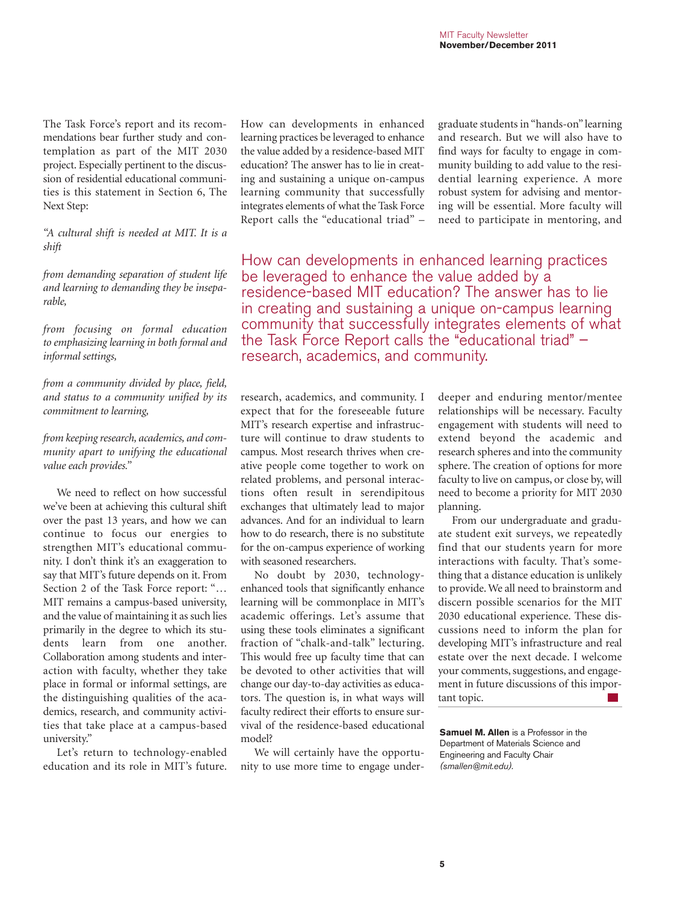The Task Force's report and its recommendations bear further study and contemplation as part of the MIT 2030 project. Especially pertinent to the discussion of residential educational communities is this statement in Section 6, The Next Step:

*"A cultural shift is needed at MIT. It is a shift*

*from demanding separation of student life and learning to demanding they be inseparable,* 

*from focusing on formal education to emphasizing learning in both formal and informal settings,* 

*from a community divided by place, field, and status to a community unified by its commitment to learning,* 

*from keeping research, academics, and community apart to unifying the educational value each provides."*

We need to reflect on how successful we've been at achieving this cultural shift over the past 13 years, and how we can continue to focus our energies to strengthen MIT's educational community. I don't think it's an exaggeration to say that MIT's future depends on it. From Section 2 of the Task Force report: "… MIT remains a campus-based university, and the value of maintaining it as such lies primarily in the degree to which its students learn from one another. Collaboration among students and interaction with faculty, whether they take place in formal or informal settings, are the distinguishing qualities of the academics, research, and community activities that take place at a campus-based university."

Let's return to technology-enabled education and its role in MIT's future. How can developments in enhanced learning practices be leveraged to enhance the value added by a residence-based MIT education? The answer has to lie in creating and sustaining a unique on-campus learning community that successfully integrates elements of what the Task Force Report calls the "educational triad" –

graduate students in "hands-on" learning and research. But we will also have to find ways for faculty to engage in community building to add value to the residential learning experience. A more robust system for advising and mentoring will be essential. More faculty will need to participate in mentoring, and

How can developments in enhanced learning practices be leveraged to enhance the value added by a residence-based MIT education? The answer has to lie in creating and sustaining a unique on-campus learning community that successfully integrates elements of what the Task Force Report calls the "educational triad"  $$ research, academics, and community.

research, academics, and community. I expect that for the foreseeable future MIT's research expertise and infrastructure will continue to draw students to campus. Most research thrives when creative people come together to work on related problems, and personal interactions often result in serendipitous exchanges that ultimately lead to major advances. And for an individual to learn how to do research, there is no substitute for the on-campus experience of working with seasoned researchers.

No doubt by 2030, technologyenhanced tools that significantly enhance learning will be commonplace in MIT's academic offerings. Let's assume that using these tools eliminates a significant fraction of "chalk-and-talk" lecturing. This would free up faculty time that can be devoted to other activities that will change our day-to-day activities as educators. The question is, in what ways will faculty redirect their efforts to ensure survival of the residence-based educational model?

We will certainly have the opportunity to use more time to engage under-

deeper and enduring mentor/mentee relationships will be necessary. Faculty engagement with students will need to extend beyond the academic and research spheres and into the community sphere. The creation of options for more faculty to live on campus, or close by, will need to become a priority for MIT 2030 planning.

From our undergraduate and graduate student exit surveys, we repeatedly find that our students yearn for more interactions with faculty. That's something that a distance education is unlikely to provide. We all need to brainstorm and discern possible scenarios for the MIT 2030 educational experience. These discussions need to inform the plan for developing MIT's infrastructure and real estate over the next decade. I welcome your comments, suggestions, and engagement in future discussions of this important topic.  $\mathcal{L}_{\mathrm{max}}$ 

**Samuel M. Allen** is a Professor in the Department of Materials Science and Engineering and Faculty Chair *(smallen@mit.edu).*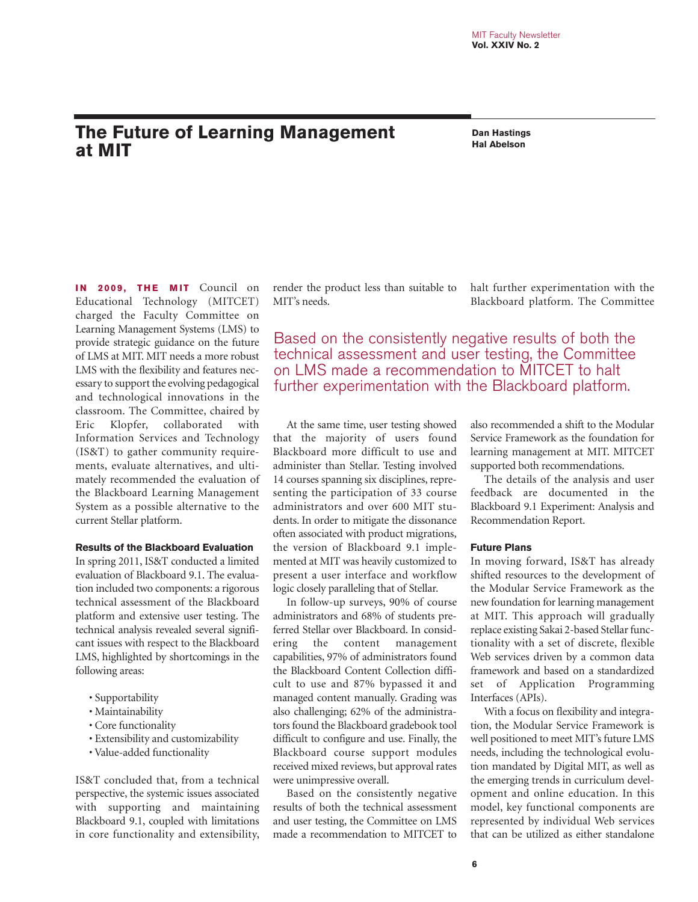# **The Future of Learning Management**<br> **Abbreuse Canal Trail Abelson at MIT**

**Dan Hastings**

**IN 2009, THE MIT** Council on Educational Technology (MITCET) charged the Faculty Committee on Learning Management Systems (LMS) to provide strategic guidance on the future of LMS at MIT. MIT needs a more robust LMS with the flexibility and features necessary to support the evolving pedagogical and technological innovations in the classroom. The Committee, chaired by Eric Klopfer, collaborated with Information Services and Technology (IS&T) to gather community requirements, evaluate alternatives, and ultimately recommended the evaluation of the Blackboard Learning Management System as a possible alternative to the current Stellar platform.

### **Results of the Blackboard Evaluation**

In spring 2011, IS&T conducted a limited evaluation of Blackboard 9.1. The evaluation included two components: a rigorous technical assessment of the Blackboard platform and extensive user testing. The technical analysis revealed several significant issues with respect to the Blackboard LMS, highlighted by shortcomings in the following areas:

- Supportability
- Maintainability
- Core functionality
- Extensibility and customizability
- Value-added functionality

IS&T concluded that, from a technical perspective, the systemic issues associated with supporting and maintaining Blackboard 9.1, coupled with limitations in core functionality and extensibility, render the product less than suitable to MIT's needs.

halt further experimentation with the Blackboard platform. The Committee

Based on the consistently negative results of both the technical assessment and user testing, the Committee on LMS made a recommendation to MITCET to halt further experimentation with the Blackboard platform.

At the same time, user testing showed that the majority of users found Blackboard more difficult to use and administer than Stellar. Testing involved 14 courses spanning six disciplines, representing the participation of 33 course administrators and over 600 MIT students. In order to mitigate the dissonance often associated with product migrations, the version of Blackboard 9.1 implemented at MIT was heavily customized to present a user interface and workflow logic closely paralleling that of Stellar.

In follow-up surveys, 90% of course administrators and 68% of students preferred Stellar over Blackboard. In considering the content management capabilities, 97% of administrators found the Blackboard Content Collection difficult to use and 87% bypassed it and managed content manually. Grading was also challenging; 62% of the administrators found the Blackboard gradebook tool difficult to configure and use. Finally, the Blackboard course support modules received mixed reviews, but approval rates were unimpressive overall.

Based on the consistently negative results of both the technical assessment and user testing, the Committee on LMS made a recommendation to MITCET to

also recommended a shift to the Modular Service Framework as the foundation for learning management at MIT. MITCET supported both recommendations.

The details of the analysis and user feedback are documented in the Blackboard 9.1 Experiment: Analysis and Recommendation Report.

### **Future Plans**

In moving forward, IS&T has already shifted resources to the development of the Modular Service Framework as the new foundation for learning management at MIT. This approach will gradually replace existing Sakai 2-based Stellar functionality with a set of discrete, flexible Web services driven by a common data framework and based on a standardized set of Application Programming Interfaces (APIs).

With a focus on flexibility and integration, the Modular Service Framework is well positioned to meet MIT's future LMS needs, including the technological evolution mandated by Digital MIT, as well as the emerging trends in curriculum development and online education. In this model, key functional components are represented by individual Web services that can be utilized as either standalone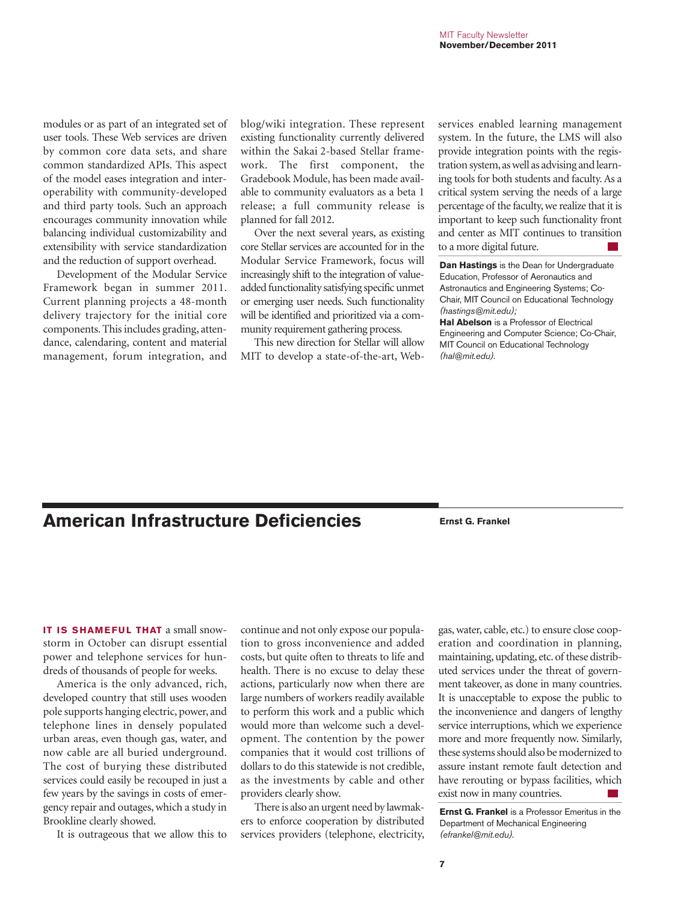modules or as part of an integrated set of user tools. These Web services are driven by common core data sets, and share common standardized APIs. This aspect of the model eases integration and interoperability with community-developed and third party tools. Such an approach encourages community innovation while balancing individual customizability and extensibility with service standardization and the reduction of support overhead.

Development of the Modular Service Framework began in summer 2011. Current planning projects a 48-month delivery trajectory for the initial core components. This includes grading, attendance, calendaring, content and material management, forum integration, and blog/wiki integration. These represent existing functionality currently delivered within the Sakai 2-based Stellar framework. The first component, the Gradebook Module, has been made available to community evaluators as a beta 1 release; a full community release is planned for fall 2012.

Over the next several years, as existing core Stellar services are accounted for in the Modular Service Framework, focus will increasingly shift to the integration of valueadded functionality satisfying specific unmet or emerging user needs. Such functionality will be identified and prioritized via a community requirement gathering process.

This new direction for Stellar will allow MIT to develop a state-of-the-art, Web-

services enabled learning management system. In the future, the LMS will also provide integration points with the registration system, as well as advising and learning tools for both students and faculty. As a critical system serving the needs of a large percentage of the faculty, we realize that it is important to keep such functionality front and center as MIT continues to transition to a more digital future.

**Dan Hastings** is the Dean for Undergraduate Education, Professor of Aeronautics and Astronautics and Engineering Systems; Co-Chair, MIT Council on Educational Technology *(hastings@mit.edu);*

**Hal Abelson** is a Professor of Electrical Engineering and Computer Science; Co-Chair, MIT Council on Educational Technology *(hal@mit.edu).*

# **American Infrastructure Deficiencies Ernst G. Frankel**

**IT IS SHAMFFUL THAT** a small snowstorm in October can disrupt essential power and telephone services for hundreds of thousands of people for weeks.

America is the only advanced, rich, developed country that still uses wooden pole supports hanging electric, power, and telephone lines in densely populated urban areas, even though gas, water, and now cable are all buried underground. The cost of burying these distributed services could easily be recouped in just a few years by the savings in costs of emergency repair and outages, which a study in Brookline clearly showed.

It is outrageous that we allow this to

continue and not only expose our population to gross inconvenience and added costs, but quite often to threats to life and health. There is no excuse to delay these actions, particularly now when there are large numbers of workers readily available to perform this work and a public which would more than welcome such a development. The contention by the power companies that it would cost trillions of dollars to do this statewide is not credible, as the investments by cable and other providers clearly show.

There is also an urgent need by lawmakers to enforce cooperation by distributed services providers (telephone, electricity,

gas, water, cable, etc.) to ensure close cooperation and coordination in planning, maintaining, updating, etc. of these distributed services under the threat of government takeover, as done in many countries. It is unacceptable to expose the public to the inconvenience and dangers of lengthy service interruptions, which we experience more and more frequently now. Similarly, these systems should also be modernized to assure instant remote fault detection and have rerouting or bypass facilities, which exist now in many countries.

**Ernst G. Frankel** is a Professor Emeritus in the Department of Mechanical Engineering *(efrankel@mit.edu).*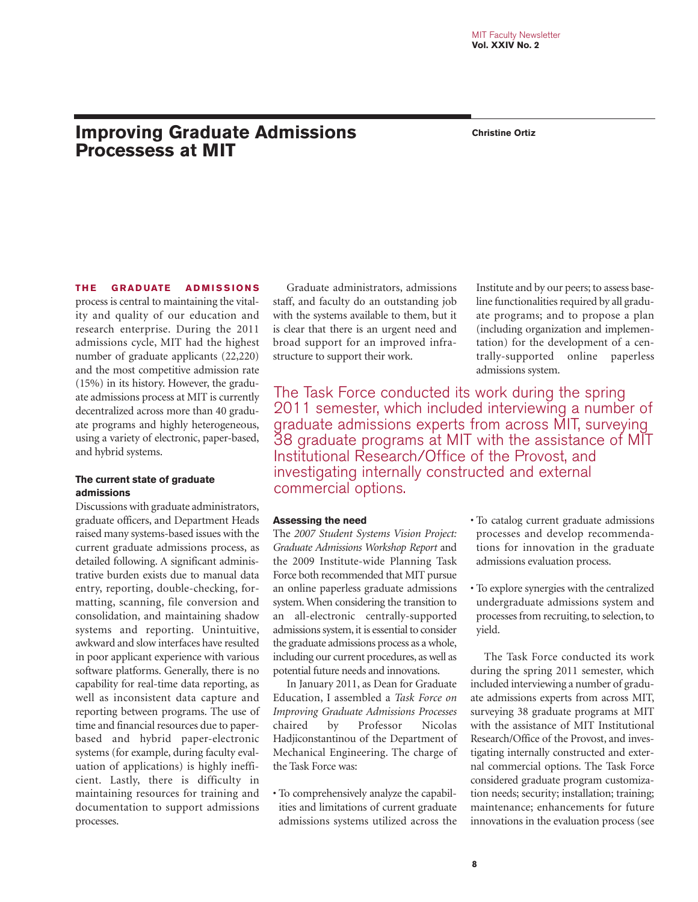# **Improving Graduate Admissions Christine Ortiz Processess at MIT**

### **THE GRADUATE ADMISSIONS**

process is central to maintaining the vitality and quality of our education and research enterprise. During the 2011 admissions cycle, MIT had the highest number of graduate applicants (22,220) and the most competitive admission rate (15%) in its history. However, the graduate admissions process at MIT is currently decentralized across more than 40 graduate programs and highly heterogeneous, using a variety of electronic, paper-based, and hybrid systems.

### **The current state of graduate admissions**

Discussions with graduate administrators, graduate officers, and Department Heads raised many systems-based issues with the current graduate admissions process, as detailed following. A significant administrative burden exists due to manual data entry, reporting, double-checking, formatting, scanning, file conversion and consolidation, and maintaining shadow systems and reporting. Unintuitive, awkward and slow interfaces have resulted in poor applicant experience with various software platforms. Generally, there is no capability for real-time data reporting, as well as inconsistent data capture and reporting between programs. The use of time and financial resources due to paperbased and hybrid paper-electronic systems (for example, during faculty evaluation of applications) is highly inefficient. Lastly, there is difficulty in maintaining resources for training and documentation to support admissions processes.

Graduate administrators, admissions staff, and faculty do an outstanding job with the systems available to them, but it is clear that there is an urgent need and broad support for an improved infrastructure to support their work.

Institute and by our peers; to assess baseline functionalities required by all graduate programs; and to propose a plan (including organization and implementation) for the development of a centrally-supported online paperless admissions system.

The Task Force conducted its work during the spring 2011 semester, which included interviewing a number of graduate admissions experts from across MIT, surveying 38 graduate programs at MIT with the assistance of MIT Institutional Research/Office of the Provost, and investigating internally constructed and external commercial options.

### **Assessing the need**

The *2007 Student Systems Vision Project: Graduate Admissions Workshop Report* and the 2009 Institute-wide Planning Task Force both recommended that MIT pursue an online paperless graduate admissions system. When considering the transition to an all-electronic centrally-supported admissions system, it is essential to consider the graduate admissions process as a whole, including our current procedures, as well as potential future needs and innovations.

In January 2011, as Dean for Graduate Education, I assembled a *Task Force on Improving Graduate Admissions Processes* chaired by Professor Nicolas Hadjiconstantinou of the Department of Mechanical Engineering. The charge of the Task Force was:

• To comprehensively analyze the capabilities and limitations of current graduate admissions systems utilized across the

- To catalog current graduate admissions processes and develop recommendations for innovation in the graduate admissions evaluation process.
- To explore synergies with the centralized undergraduate admissions system and processes from recruiting, to selection, to yield.

The Task Force conducted its work during the spring 2011 semester, which included interviewing a number of graduate admissions experts from across MIT, surveying 38 graduate programs at MIT with the assistance of MIT Institutional Research/Office of the Provost, and investigating internally constructed and external commercial options. The Task Force considered graduate program customization needs; security; installation; training; maintenance; enhancements for future innovations in the evaluation process (see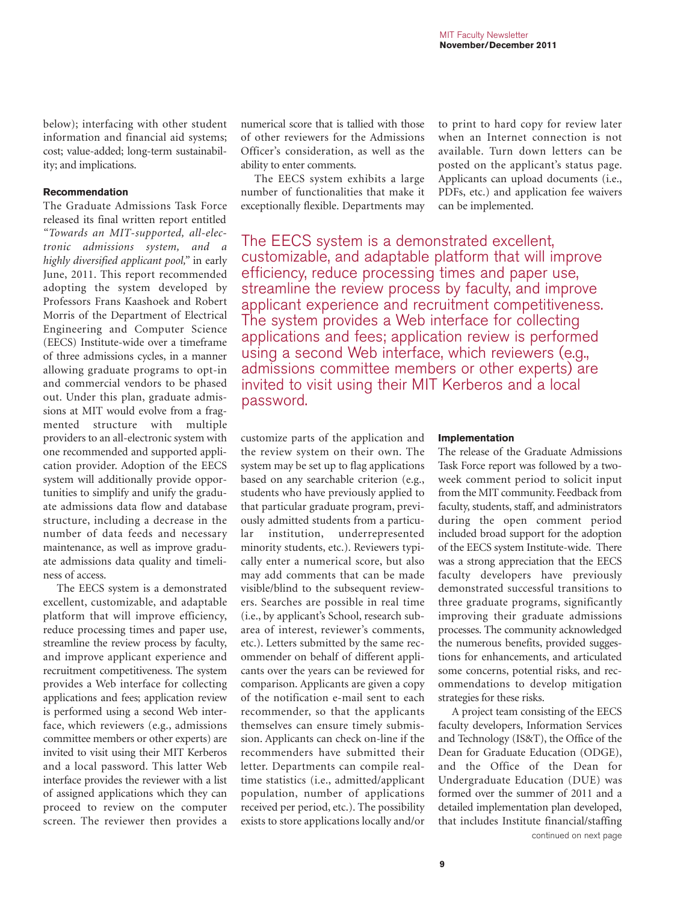below); interfacing with other student information and financial aid systems; cost; value-added; long-term sustainability; and implications.

### **Recommendation**

The Graduate Admissions Task Force released its final written report entitled *"Towards an MIT-supported, all-electronic admissions system, and a highly diversified applicant pool,"* in early June, 2011. This report recommended adopting the system developed by Professors Frans Kaashoek and Robert Morris of the Department of Electrical Engineering and Computer Science (EECS) Institute-wide over a timeframe of three admissions cycles, in a manner allowing graduate programs to opt-in and commercial vendors to be phased out. Under this plan, graduate admissions at MIT would evolve from a fragmented structure with multiple providers to an all-electronic system with one recommended and supported application provider. Adoption of the EECS system will additionally provide opportunities to simplify and unify the graduate admissions data flow and database structure, including a decrease in the number of data feeds and necessary maintenance, as well as improve graduate admissions data quality and timeliness of access.

The EECS system is a demonstrated excellent, customizable, and adaptable platform that will improve efficiency, reduce processing times and paper use, streamline the review process by faculty, and improve applicant experience and recruitment competitiveness. The system provides a Web interface for collecting applications and fees; application review is performed using a second Web interface, which reviewers (e.g., admissions committee members or other experts) are invited to visit using their MIT Kerberos and a local password. This latter Web interface provides the reviewer with a list of assigned applications which they can proceed to review on the computer screen. The reviewer then provides a numerical score that is tallied with those of other reviewers for the Admissions Officer's consideration, as well as the ability to enter comments.

The EECS system exhibits a large number of functionalities that make it exceptionally flexible. Departments may

to print to hard copy for review later when an Internet connection is not available. Turn down letters can be posted on the applicant's status page. Applicants can upload documents (i.e., PDFs, etc.) and application fee waivers can be implemented.

The EECS system is a demonstrated excellent, customizable, and adaptable platform that will improve efficiency, reduce processing times and paper use, streamline the review process by faculty, and improve applicant experience and recruitment competitiveness. The system provides a Web interface for collecting applications and fees; application review is performed using a second Web interface, which reviewers (e.g., admissions committee members or other experts) are invited to visit using their MIT Kerberos and a local password.

customize parts of the application and the review system on their own. The system may be set up to flag applications based on any searchable criterion (e.g., students who have previously applied to that particular graduate program, previously admitted students from a particular institution, underrepresented minority students, etc.). Reviewers typically enter a numerical score, but also may add comments that can be made visible/blind to the subsequent reviewers. Searches are possible in real time (i.e., by applicant's School, research subarea of interest, reviewer's comments, etc.). Letters submitted by the same recommender on behalf of different applicants over the years can be reviewed for comparison. Applicants are given a copy of the notification e-mail sent to each recommender, so that the applicants themselves can ensure timely submission. Applicants can check on-line if the recommenders have submitted their letter. Departments can compile realtime statistics (i.e., admitted/applicant population, number of applications received per period, etc.). The possibility exists to store applications locally and/or

### **Implementation**

The release of the Graduate Admissions Task Force report was followed by a twoweek comment period to solicit input from the MIT community. Feedback from faculty, students, staff, and administrators during the open comment period included broad support for the adoption of the EECS system Institute-wide. There was a strong appreciation that the EECS faculty developers have previously demonstrated successful transitions to three graduate programs, significantly improving their graduate admissions processes. The community acknowledged the numerous benefits, provided suggestions for enhancements, and articulated some concerns, potential risks, and recommendations to develop mitigation strategies for these risks.

A project team consisting of the EECS faculty developers, Information Services and Technology (IS&T), the Office of the Dean for Graduate Education (ODGE), and the Office of the Dean for Undergraduate Education (DUE) was formed over the summer of 2011 and a detailed implementation plan developed, that includes Institute financial/staffing continued on next page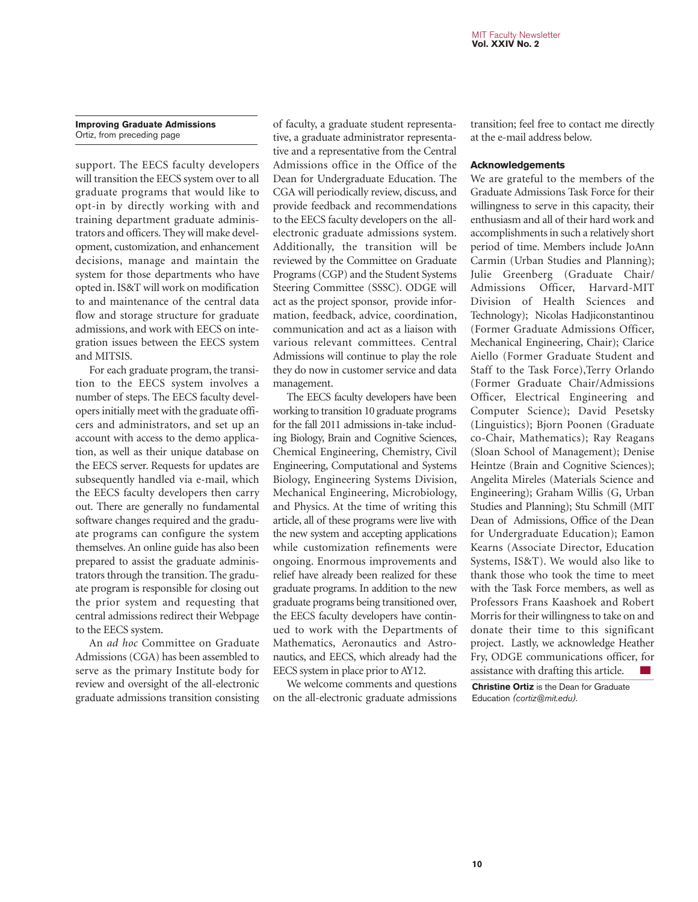### **Improving Graduate Admissions** Ortiz, from preceding page

support. The EECS faculty developers will transition the EECS system over to all graduate programs that would like to opt-in by directly working with and training department graduate administrators and officers. They will make development, customization, and enhancement decisions, manage and maintain the system for those departments who have opted in. IS&T will work on modification to and maintenance of the central data flow and storage structure for graduate admissions, and work with EECS on integration issues between the EECS system and MITSIS.

For each graduate program, the transition to the EECS system involves a number of steps. The EECS faculty developers initially meet with the graduate officers and administrators, and set up an account with access to the demo application, as well as their unique database on the EECS server. Requests for updates are subsequently handled via e-mail, which the EECS faculty developers then carry out. There are generally no fundamental software changes required and the graduate programs can configure the system themselves. An online guide has also been prepared to assist the graduate administrators through the transition. The graduate program is responsible for closing out the prior system and requesting that central admissions redirect their Webpage to the EECS system.

An *ad hoc* Committee on Graduate Admissions (CGA) has been assembled to serve as the primary Institute body for review and oversight of the all-electronic graduate admissions transition consisting of faculty, a graduate student representative, a graduate administrator representative and a representative from the Central Admissions office in the Office of the Dean for Undergraduate Education. The CGA will periodically review, discuss, and provide feedback and recommendations to the EECS faculty developers on the allelectronic graduate admissions system. Additionally, the transition will be reviewed by the Committee on Graduate Programs (CGP) and the Student Systems Steering Committee (SSSC). ODGE will act as the project sponsor, provide information, feedback, advice, coordination, communication and act as a liaison with various relevant committees. Central Admissions will continue to play the role they do now in customer service and data management.

The EECS faculty developers have been working to transition 10 graduate programs for the fall 2011 admissions in-take including Biology, Brain and Cognitive Sciences, Chemical Engineering, Chemistry, Civil Engineering, Computational and Systems Biology, Engineering Systems Division, Mechanical Engineering, Microbiology, and Physics. At the time of writing this article, all of these programs were live with the new system and accepting applications while customization refinements were ongoing. Enormous improvements and relief have already been realized for these graduate programs. In addition to the new graduate programs being transitioned over, the EECS faculty developers have continued to work with the Departments of Mathematics, Aeronautics and Astronautics, and EECS, which already had the EECS system in place prior to AY12.

We welcome comments and questions on the all-electronic graduate admissions

transition; feel free to contact me directly at the e-mail address below.

### **Acknowledgements**

We are grateful to the members of the Graduate Admissions Task Force for their willingness to serve in this capacity, their enthusiasm and all of their hard work and accomplishments in such a relatively short period of time. Members include JoAnn Carmin (Urban Studies and Planning); Julie Greenberg (Graduate Chair/ Admissions Officer, Harvard-MIT Division of Health Sciences and Technology); Nicolas Hadjiconstantinou (Former Graduate Admissions Officer, Mechanical Engineering, Chair); Clarice Aiello (Former Graduate Student and Staff to the Task Force),Terry Orlando (Former Graduate Chair/Admissions Officer, Electrical Engineering and Computer Science); David Pesetsky (Linguistics); Bjorn Poonen (Graduate co-Chair, Mathematics); Ray Reagans (Sloan School of Management); Denise Heintze (Brain and Cognitive Sciences); Angelita Mireles (Materials Science and Engineering); Graham Willis (G, Urban Studies and Planning); Stu Schmill (MIT Dean of Admissions, Office of the Dean for Undergraduate Education); Eamon Kearns (Associate Director, Education Systems, IS&T). We would also like to thank those who took the time to meet with the Task Force members, as well as Professors Frans Kaashoek and Robert Morris for their willingness to take on and donate their time to this significant project. Lastly, we acknowledge Heather Fry, ODGE communications officer, for assistance with drafting this article.

**Christine Ortiz** is the Dean for Graduate Education *(cortiz@mit.edu).*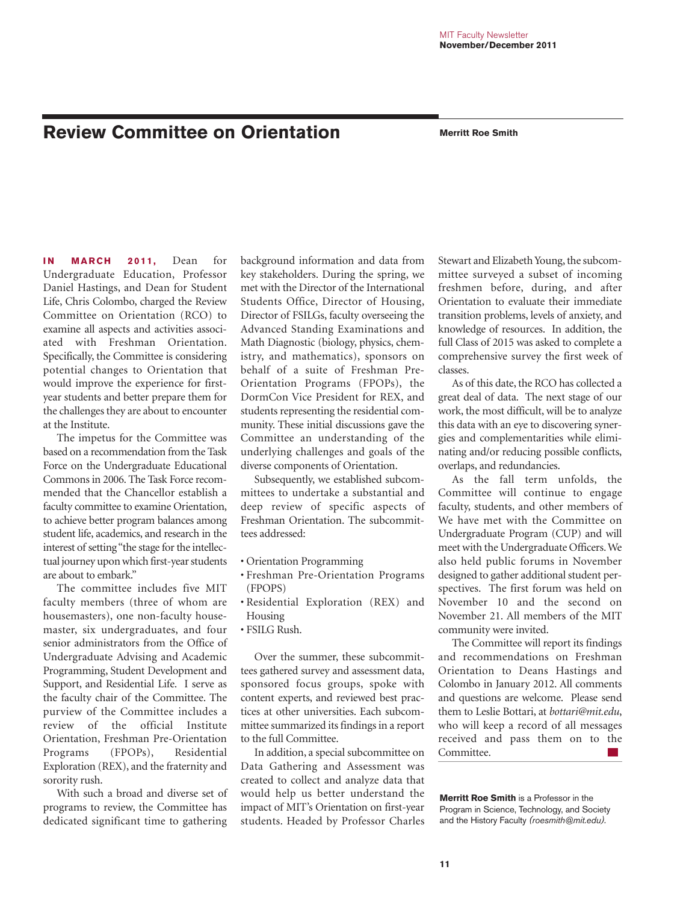# **Review Committee on Orientation Merritt Roe Smith**

**IN MARCH 2011, Dean for** Undergraduate Education, Professor Daniel Hastings, and Dean for Student Life, Chris Colombo, charged the Review Committee on Orientation (RCO) to examine all aspects and activities associated with Freshman Orientation. Specifically, the Committee is considering potential changes to Orientation that would improve the experience for firstyear students and better prepare them for the challenges they are about to encounter at the Institute.

The impetus for the Committee was based on a recommendation from the Task Force on the Undergraduate Educational Commons in 2006. The Task Force recommended that the Chancellor establish a faculty committee to examine Orientation, to achieve better program balances among student life, academics, and research in the interest of setting "the stage for the intellectual journey upon which first-year students are about to embark."

The committee includes five MIT faculty members (three of whom are housemasters), one non-faculty housemaster, six undergraduates, and four senior administrators from the Office of Undergraduate Advising and Academic Programming, Student Development and Support, and Residential Life. I serve as the faculty chair of the Committee. The purview of the Committee includes a review of the official Institute Orientation, Freshman Pre-Orientation Programs (FPOPs), Residential Exploration (REX), and the fraternity and sorority rush.

With such a broad and diverse set of programs to review, the Committee has dedicated significant time to gathering

background information and data from key stakeholders. During the spring, we met with the Director of the International Students Office, Director of Housing, Director of FSILGs, faculty overseeing the Advanced Standing Examinations and Math Diagnostic (biology, physics, chemistry, and mathematics), sponsors on behalf of a suite of Freshman Pre-Orientation Programs (FPOPs), the DormCon Vice President for REX, and students representing the residential community. These initial discussions gave the Committee an understanding of the underlying challenges and goals of the diverse components of Orientation.

Subsequently, we established subcommittees to undertake a substantial and deep review of specific aspects of Freshman Orientation. The subcommittees addressed:

- Orientation Programming
- Freshman Pre-Orientation Programs (FPOPS)
- Residential Exploration (REX) and Housing
- FSILG Rush.

Over the summer, these subcommittees gathered survey and assessment data, sponsored focus groups, spoke with content experts, and reviewed best practices at other universities. Each subcommittee summarized its findings in a report to the full Committee.

In addition, a special subcommittee on Data Gathering and Assessment was created to collect and analyze data that would help us better understand the impact of MIT's Orientation on first-year students. Headed by Professor Charles

Stewart and Elizabeth Young, the subcommittee surveyed a subset of incoming freshmen before, during, and after Orientation to evaluate their immediate transition problems, levels of anxiety, and knowledge of resources. In addition, the full Class of 2015 was asked to complete a comprehensive survey the first week of classes.

As of this date, the RCO has collected a great deal of data. The next stage of our work, the most difficult, will be to analyze this data with an eye to discovering synergies and complementarities while eliminating and/or reducing possible conflicts, overlaps, and redundancies.

As the fall term unfolds, the Committee will continue to engage faculty, students, and other members of We have met with the Committee on Undergraduate Program (CUP) and will meet with the Undergraduate Officers. We also held public forums in November designed to gather additional student perspectives. The first forum was held on November 10 and the second on November 21. All members of the MIT community were invited.

The Committee will report its findings and recommendations on Freshman Orientation to Deans Hastings and Colombo in January 2012. All comments and questions are welcome. Please send them to Leslie Bottari, at *bottari@mit.edu*, who will keep a record of all messages received and pass them on to the Committee.  $\sim$ 

**Merritt Roe Smith** is a Professor in the Program in Science, Technology, and Society and the History Faculty *(roesmith@mit.edu).*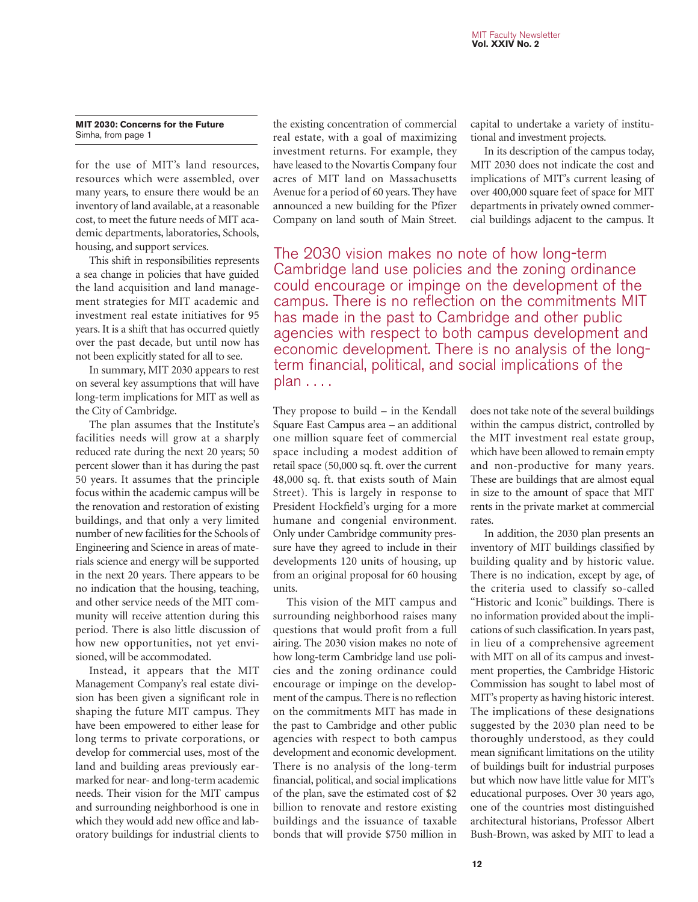### **MIT 2030: Concerns for the Future** Simha, from page 1

for the use of MIT's land resources, resources which were assembled, over many years, to ensure there would be an inventory of land available, at a reasonable cost, to meet the future needs of MIT academic departments, laboratories, Schools, housing, and support services.

This shift in responsibilities represents a sea change in policies that have guided the land acquisition and land management strategies for MIT academic and investment real estate initiatives for 95 years. It is a shift that has occurred quietly over the past decade, but until now has not been explicitly stated for all to see.

In summary, MIT 2030 appears to rest on several key assumptions that will have long-term implications for MIT as well as the City of Cambridge.

The plan assumes that the Institute's facilities needs will grow at a sharply reduced rate during the next 20 years; 50 percent slower than it has during the past 50 years. It assumes that the principle focus within the academic campus will be the renovation and restoration of existing buildings, and that only a very limited number of new facilities for the Schools of Engineering and Science in areas of materials science and energy will be supported in the next 20 years. There appears to be no indication that the housing, teaching, and other service needs of the MIT community will receive attention during this period. There is also little discussion of how new opportunities, not yet envisioned, will be accommodated.

Instead, it appears that the MIT Management Company's real estate division has been given a significant role in shaping the future MIT campus. They have been empowered to either lease for long terms to private corporations, or develop for commercial uses, most of the land and building areas previously earmarked for near- and long-term academic needs. Their vision for the MIT campus and surrounding neighborhood is one in which they would add new office and laboratory buildings for industrial clients to

the existing concentration of commercial real estate, with a goal of maximizing investment returns. For example, they have leased to the Novartis Company four acres of MIT land on Massachusetts Avenue for a period of 60 years. They have announced a new building for the Pfizer Company on land south of Main Street.

capital to undertake a variety of institutional and investment projects.

In its description of the campus today, MIT 2030 does not indicate the cost and implications of MIT's current leasing of over 400,000 square feet of space for MIT departments in privately owned commercial buildings adjacent to the campus. It

The 2030 vision makes no note of how long-term Cambridge land use policies and the zoning ordinance could encourage or impinge on the development of the campus. There is no reflection on the commitments MIT has made in the past to Cambridge and other public agencies with respect to both campus development and economic development. There is no analysis of the longterm financial, political, and social implications of the plan . . . .

They propose to build – in the Kendall Square East Campus area – an additional one million square feet of commercial space including a modest addition of retail space (50,000 sq. ft. over the current 48,000 sq. ft. that exists south of Main Street). This is largely in response to President Hockfield's urging for a more humane and congenial environment. Only under Cambridge community pressure have they agreed to include in their developments 120 units of housing, up from an original proposal for 60 housing units.

This vision of the MIT campus and surrounding neighborhood raises many questions that would profit from a full airing. The 2030 vision makes no note of how long-term Cambridge land use policies and the zoning ordinance could encourage or impinge on the development of the campus. There is no reflection on the commitments MIT has made in the past to Cambridge and other public agencies with respect to both campus development and economic development. There is no analysis of the long-term financial, political, and social implications of the plan, save the estimated cost of \$2 billion to renovate and restore existing buildings and the issuance of taxable bonds that will provide \$750 million in

does not take note of the several buildings within the campus district, controlled by the MIT investment real estate group, which have been allowed to remain empty and non-productive for many years. These are buildings that are almost equal in size to the amount of space that MIT rents in the private market at commercial rates.

In addition, the 2030 plan presents an inventory of MIT buildings classified by building quality and by historic value. There is no indication, except by age, of the criteria used to classify so-called "Historic and Iconic" buildings. There is no information provided about the implications of such classification. In years past, in lieu of a comprehensive agreement with MIT on all of its campus and investment properties, the Cambridge Historic Commission has sought to label most of MIT's property as having historic interest. The implications of these designations suggested by the 2030 plan need to be thoroughly understood, as they could mean significant limitations on the utility of buildings built for industrial purposes but which now have little value for MIT's educational purposes. Over 30 years ago, one of the countries most distinguished architectural historians, Professor Albert Bush-Brown, was asked by MIT to lead a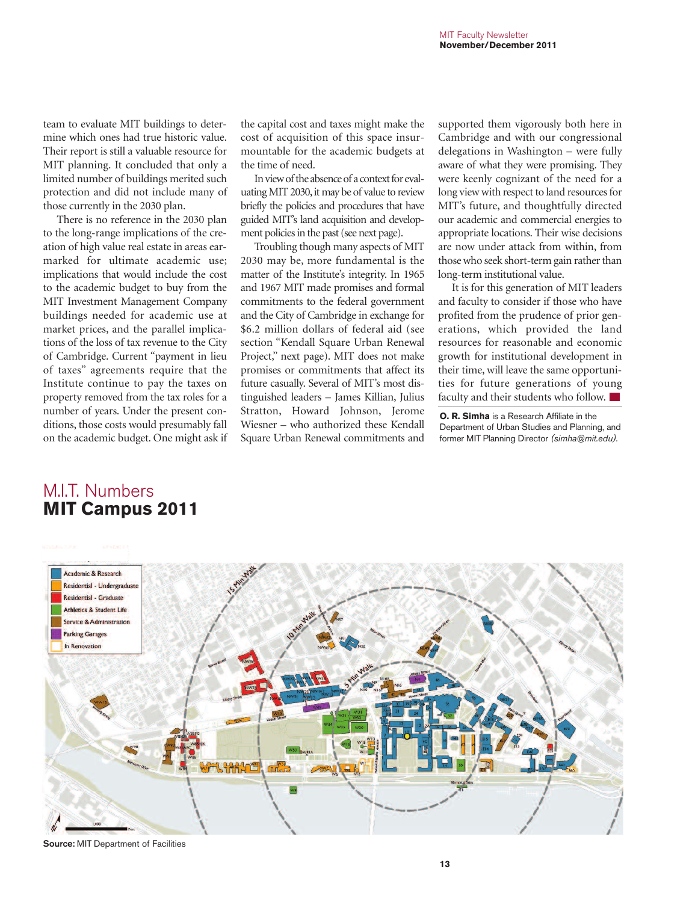team to evaluate MIT buildings to determine which ones had true historic value. Their report is still a valuable resource for MIT planning. It concluded that only a limited number of buildings merited such protection and did not include many of those currently in the 2030 plan.

There is no reference in the 2030 plan to the long-range implications of the creation of high value real estate in areas earmarked for ultimate academic use; implications that would include the cost to the academic budget to buy from the MIT Investment Management Company buildings needed for academic use at market prices, and the parallel implications of the loss of tax revenue to the City of Cambridge. Current "payment in lieu of taxes" agreements require that the Institute continue to pay the taxes on property removed from the tax roles for a number of years. Under the present conditions, those costs would presumably fall on the academic budget. One might ask if

the capital cost and taxes might make the cost of acquisition of this space insurmountable for the academic budgets at the time of need.

In view of the absence of a context for evaluating MIT 2030, it may be of value to review briefly the policies and procedures that have guided MIT's land acquisition and development policies in the past (see next page).

Troubling though many aspects of MIT 2030 may be, more fundamental is the matter of the Institute's integrity. In 1965 and 1967 MIT made promises and formal commitments to the federal government and the City of Cambridge in exchange for \$6.2 million dollars of federal aid (see section "Kendall Square Urban Renewal Project," next page). MIT does not make promises or commitments that affect its future casually. Several of MIT's most distinguished leaders – James Killian, Julius Stratton, Howard Johnson, Jerome Wiesner – who authorized these Kendall Square Urban Renewal commitments and

supported them vigorously both here in Cambridge and with our congressional delegations in Washington – were fully aware of what they were promising. They were keenly cognizant of the need for a long view with respect to land resources for MIT's future, and thoughtfully directed our academic and commercial energies to appropriate locations. Their wise decisions are now under attack from within, from those who seek short-term gain rather than long-term institutional value.

It is for this generation of MIT leaders and faculty to consider if those who have profited from the prudence of prior generations, which provided the land resources for reasonable and economic growth for institutional development in their time, will leave the same opportunities for future generations of young faculty and their students who follow.

**O. R. Simha** is a Research Affiliate in the Department of Urban Studies and Planning, and former MIT Planning Director *(simha@mit.edu).*





**Source:** MIT Department of Facilities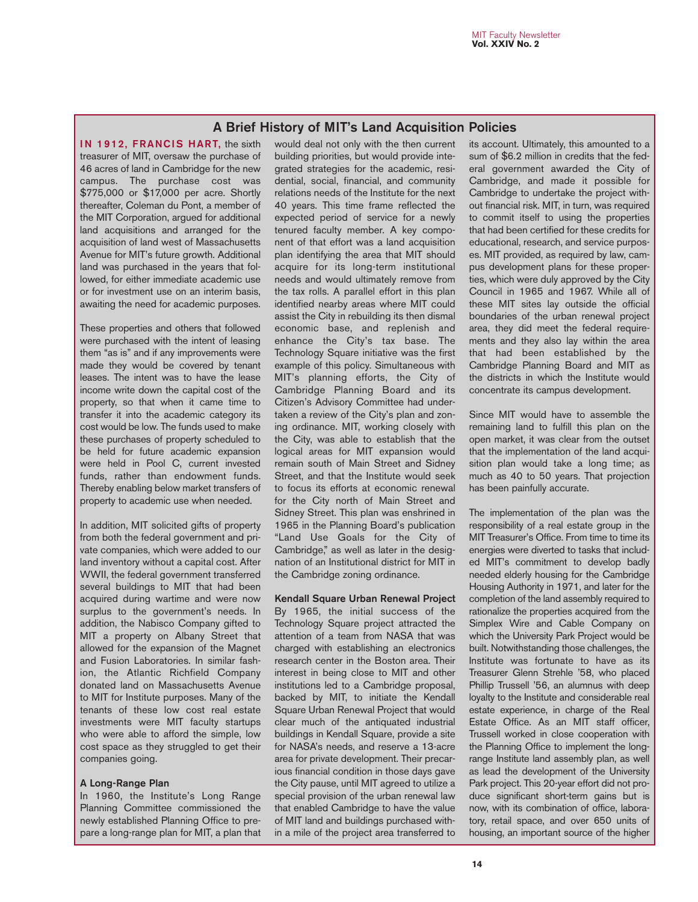### **A Brief History of MIT's Land Acquisition Policies**

**IN 1912, FRANCIS HART, the sixth** treasurer of MIT, oversaw the purchase of 46 acres of land in Cambridge for the new campus. The purchase cost was \$775,000 or \$17,000 per acre. Shortly thereafter, Coleman du Pont, a member of the MIT Corporation, argued for additional land acquisitions and arranged for the acquisition of land west of Massachusetts Avenue for MIT's future growth. Additional land was purchased in the years that followed, for either immediate academic use or for investment use on an interim basis, awaiting the need for academic purposes.

These properties and others that followed were purchased with the intent of leasing them "as is" and if any improvements were made they would be covered by tenant leases. The intent was to have the lease income write down the capital cost of the property, so that when it came time to transfer it into the academic category its cost would be low. The funds used to make these purchases of property scheduled to be held for future academic expansion were held in Pool C, current invested funds, rather than endowment funds. Thereby enabling below market transfers of property to academic use when needed.

In addition, MIT solicited gifts of property from both the federal government and private companies, which were added to our land inventory without a capital cost. After WWII, the federal government transferred several buildings to MIT that had been acquired during wartime and were now surplus to the government's needs. In addition, the Nabisco Company gifted to MIT a property on Albany Street that allowed for the expansion of the Magnet and Fusion Laboratories. In similar fashion, the Atlantic Richfield Company donated land on Massachusetts Avenue to MIT for Institute purposes. Many of the tenants of these low cost real estate investments were MIT faculty startups who were able to afford the simple, low cost space as they struggled to get their companies going.

### **A Long-Range Plan**

In 1960, the Institute's Long Range Planning Committee commissioned the newly established Planning Office to prepare a long-range plan for MIT, a plan that would deal not only with the then current building priorities, but would provide integrated strategies for the academic, residential, social, financial, and community relations needs of the Institute for the next 40 years. This time frame reflected the expected period of service for a newly tenured faculty member. A key component of that effort was a land acquisition plan identifying the area that MIT should acquire for its long-term institutional needs and would ultimately remove from the tax rolls. A parallel effort in this plan identified nearby areas where MIT could assist the City in rebuilding its then dismal economic base, and replenish and enhance the City's tax base. The Technology Square initiative was the first example of this policy. Simultaneous with MIT's planning efforts, the City of Cambridge Planning Board and its Citizen's Advisory Committee had undertaken a review of the City's plan and zoning ordinance. MIT, working closely with the City, was able to establish that the logical areas for MIT expansion would remain south of Main Street and Sidney Street, and that the Institute would seek to focus its efforts at economic renewal for the City north of Main Street and Sidney Street. This plan was enshrined in 1965 in the Planning Board's publication "Land Use Goals for the City of Cambridge," as well as later in the designation of an Institutional district for MIT in the Cambridge zoning ordinance.

**Kendall Square Urban Renewal Project** By 1965, the initial success of the Technology Square project attracted the attention of a team from NASA that was charged with establishing an electronics research center in the Boston area. Their interest in being close to MIT and other institutions led to a Cambridge proposal, backed by MIT, to initiate the Kendall Square Urban Renewal Project that would clear much of the antiquated industrial buildings in Kendall Square, provide a site for NASA's needs, and reserve a 13-acre area for private development. Their precarious financial condition in those days gave the City pause, until MIT agreed to utilize a special provision of the urban renewal law that enabled Cambridge to have the value of MIT land and buildings purchased within a mile of the project area transferred to

its account. Ultimately, this amounted to a sum of \$6.2 million in credits that the federal government awarded the City of Cambridge, and made it possible for Cambridge to undertake the project without financial risk. MIT, in turn, was required to commit itself to using the properties that had been certified for these credits for educational, research, and service purposes. MIT provided, as required by law, campus development plans for these properties, which were duly approved by the City Council in 1965 and 1967. While all of these MIT sites lay outside the official boundaries of the urban renewal project area, they did meet the federal requirements and they also lay within the area that had been established by the Cambridge Planning Board and MIT as the districts in which the Institute would concentrate its campus development.

Since MIT would have to assemble the remaining land to fulfill this plan on the open market, it was clear from the outset that the implementation of the land acquisition plan would take a long time; as much as 40 to 50 years. That projection has been painfully accurate.

The implementation of the plan was the responsibility of a real estate group in the MIT Treasurer's Office. From time to time its energies were diverted to tasks that included MIT's commitment to develop badly needed elderly housing for the Cambridge Housing Authority in 1971, and later for the completion of the land assembly required to rationalize the properties acquired from the Simplex Wire and Cable Company on which the University Park Project would be built. Notwithstanding those challenges, the Institute was fortunate to have as its Treasurer Glenn Strehle '58, who placed Phillip Trussell '56, an alumnus with deep loyalty to the Institute and considerable real estate experience, in charge of the Real Estate Office. As an MIT staff officer, Trussell worked in close cooperation with the Planning Office to implement the longrange Institute land assembly plan, as well as lead the development of the University Park project. This 20-year effort did not produce significant short-term gains but is now, with its combination of office, laboratory, retail space, and over 650 units of housing, an important source of the higher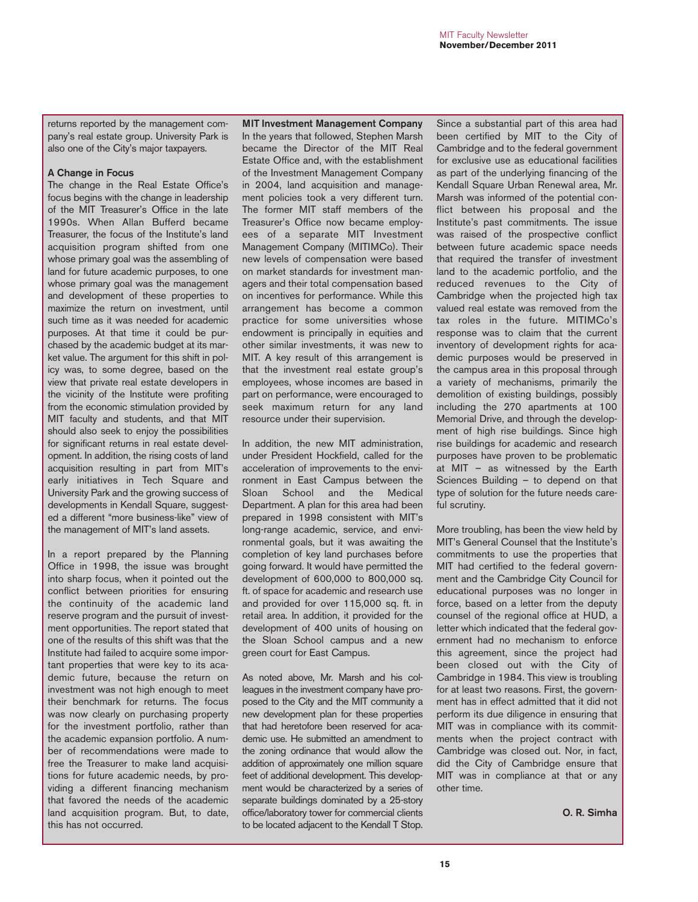returns reported by the management company's real estate group. University Park is also one of the City's major taxpayers.

### **A Change in Focus**

The change in the Real Estate Office's focus begins with the change in leadership of the MIT Treasurer's Office in the late 1990s. When Allan Bufferd became Treasurer, the focus of the Institute's land acquisition program shifted from one whose primary goal was the assembling of land for future academic purposes, to one whose primary goal was the management and development of these properties to maximize the return on investment, until such time as it was needed for academic purposes. At that time it could be purchased by the academic budget at its market value. The argument for this shift in policy was, to some degree, based on the view that private real estate developers in the vicinity of the Institute were profiting from the economic stimulation provided by MIT faculty and students, and that MIT should also seek to enjoy the possibilities for significant returns in real estate development. In addition, the rising costs of land acquisition resulting in part from MIT's early initiatives in Tech Square and University Park and the growing success of developments in Kendall Square, suggested a different "more business-like" view of the management of MIT's land assets.

In a report prepared by the Planning Office in 1998, the issue was brought into sharp focus, when it pointed out the conflict between priorities for ensuring the continuity of the academic land reserve program and the pursuit of investment opportunities. The report stated that one of the results of this shift was that the Institute had failed to acquire some important properties that were key to its academic future, because the return on investment was not high enough to meet their benchmark for returns. The focus was now clearly on purchasing property for the investment portfolio, rather than the academic expansion portfolio. A number of recommendations were made to free the Treasurer to make land acquisitions for future academic needs, by providing a different financing mechanism that favored the needs of the academic land acquisition program. But, to date, this has not occurred.

**MIT Investment Management Company** In the years that followed, Stephen Marsh became the Director of the MIT Real Estate Office and, with the establishment of the Investment Management Company in 2004, land acquisition and management policies took a very different turn. The former MIT staff members of the Treasurer's Office now became employees of a separate MIT Investment Management Company (MITIMCo). Their new levels of compensation were based on market standards for investment managers and their total compensation based on incentives for performance. While this arrangement has become a common practice for some universities whose endowment is principally in equities and other similar investments, it was new to MIT. A key result of this arrangement is that the investment real estate group's employees, whose incomes are based in part on performance, were encouraged to seek maximum return for any land resource under their supervision.

In addition, the new MIT administration, under President Hockfield, called for the acceleration of improvements to the environment in East Campus between the Sloan School and the Medical Department. A plan for this area had been prepared in 1998 consistent with MIT's long-range academic, service, and environmental goals, but it was awaiting the completion of key land purchases before going forward. It would have permitted the development of 600,000 to 800,000 sq. ft. of space for academic and research use and provided for over 115,000 sq. ft. in retail area. In addition, it provided for the development of 400 units of housing on the Sloan School campus and a new green court for East Campus.

As noted above, Mr. Marsh and his colleagues in the investment company have proposed to the City and the MIT community a new development plan for these properties that had heretofore been reserved for academic use. He submitted an amendment to the zoning ordinance that would allow the addition of approximately one million square feet of additional development. This development would be characterized by a series of separate buildings dominated by a 25-story office/laboratory tower for commercial clients to be located adjacent to the Kendall T Stop.

Since a substantial part of this area had been certified by MIT to the City of Cambridge and to the federal government for exclusive use as educational facilities as part of the underlying financing of the Kendall Square Urban Renewal area, Mr. Marsh was informed of the potential conflict between his proposal and the Institute's past commitments. The issue was raised of the prospective conflict between future academic space needs that required the transfer of investment land to the academic portfolio, and the reduced revenues to the City of Cambridge when the projected high tax valued real estate was removed from the tax roles in the future. MITIMCo's response was to claim that the current inventory of development rights for academic purposes would be preserved in the campus area in this proposal through a variety of mechanisms, primarily the demolition of existing buildings, possibly including the 270 apartments at 100 Memorial Drive, and through the development of high rise buildings. Since high rise buildings for academic and research purposes have proven to be problematic at MIT – as witnessed by the Earth Sciences Building – to depend on that type of solution for the future needs careful scrutiny.

More troubling, has been the view held by MIT's General Counsel that the Institute's commitments to use the properties that MIT had certified to the federal government and the Cambridge City Council for educational purposes was no longer in force, based on a letter from the deputy counsel of the regional office at HUD, a letter which indicated that the federal government had no mechanism to enforce this agreement, since the project had been closed out with the City of Cambridge in 1984. This view is troubling for at least two reasons. First, the government has in effect admitted that it did not perform its due diligence in ensuring that MIT was in compliance with its commitments when the project contract with Cambridge was closed out. Nor, in fact, did the City of Cambridge ensure that MIT was in compliance at that or any other time.

**O. R. Simha**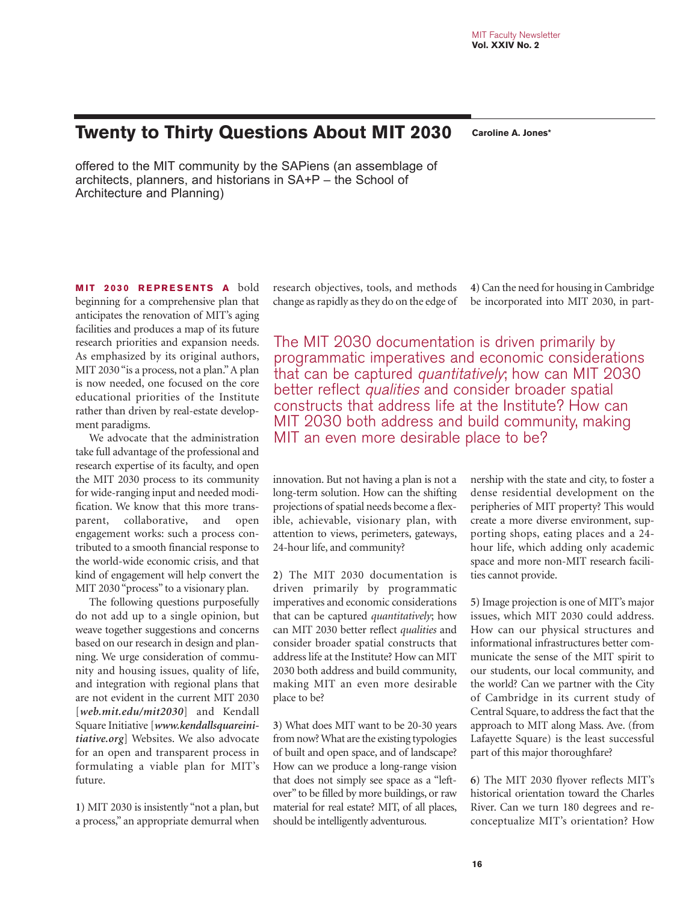# **Twenty to Thirty Questions About MIT 2030 Caroline A. Jones\***

offered to the MIT community by the SAPiens (an assemblage of architects, planners, and historians in SA+P – the School of Architecture and Planning)

**MIT 2030 REPRESENTS A bold** beginning for a comprehensive plan that anticipates the renovation of MIT's aging facilities and produces a map of its future research priorities and expansion needs. As emphasized by its original authors, MIT 2030 "is a process, not a plan." A plan is now needed, one focused on the core educational priorities of the Institute rather than driven by real-estate development paradigms.

We advocate that the administration take full advantage of the professional and research expertise of its faculty, and open the MIT 2030 process to its community for wide-ranging input and needed modification. We know that this more transparent, collaborative, and open engagement works: such a process contributed to a smooth financial response to the world-wide economic crisis, and that kind of engagement will help convert the MIT 2030 "process" to a visionary plan.

The following questions purposefully do not add up to a single opinion, but weave together suggestions and concerns based on our research in design and planning. We urge consideration of community and housing issues, quality of life, and integration with regional plans that are not evident in the current MIT 2030 [*web.mit.edu/mit2030*] and Kendall Square Initiative [*www.kendallsquareinitiative.org*] Websites. We also advocate for an open and transparent process in formulating a viable plan for MIT's future.

**1)** MIT 2030 is insistently "not a plan, but a process," an appropriate demurral when research objectives, tools, and methods change as rapidly as they do on the edge of **4)** Can the need for housing in Cambridge be incorporated into MIT 2030, in part-

The MIT 2030 documentation is driven primarily by programmatic imperatives and economic considerations that can be captured quantitatively; how can MIT 2030 better reflect qualities and consider broader spatial constructs that address life at the Institute? How can MIT 2030 both address and build community, making MIT an even more desirable place to be?

innovation. But not having a plan is not a long-term solution. How can the shifting projections of spatial needs become a flexible, achievable, visionary plan, with attention to views, perimeters, gateways, 24-hour life, and community?

**2)** The MIT 2030 documentation is driven primarily by programmatic imperatives and economic considerations that can be captured *quantitatively*; how can MIT 2030 better reflect *qualities* and consider broader spatial constructs that address life at the Institute? How can MIT 2030 both address and build community, making MIT an even more desirable place to be?

**3)** What does MIT want to be 20-30 years from now? What are the existing typologies of built and open space, and of landscape? How can we produce a long-range vision that does not simply see space as a "leftover" to be filled by more buildings, or raw material for real estate? MIT, of all places, should be intelligently adventurous.

nership with the state and city, to foster a dense residential development on the peripheries of MIT property? This would create a more diverse environment, supporting shops, eating places and a 24 hour life, which adding only academic space and more non-MIT research facilities cannot provide.

**5)** Image projection is one of MIT's major issues, which MIT 2030 could address. How can our physical structures and informational infrastructures better communicate the sense of the MIT spirit to our students, our local community, and the world? Can we partner with the City of Cambridge in its current study of Central Square, to address the fact that the approach to MIT along Mass. Ave. (from Lafayette Square) is the least successful part of this major thoroughfare?

**6)** The MIT 2030 flyover reflects MIT's historical orientation toward the Charles River. Can we turn 180 degrees and reconceptualize MIT's orientation? How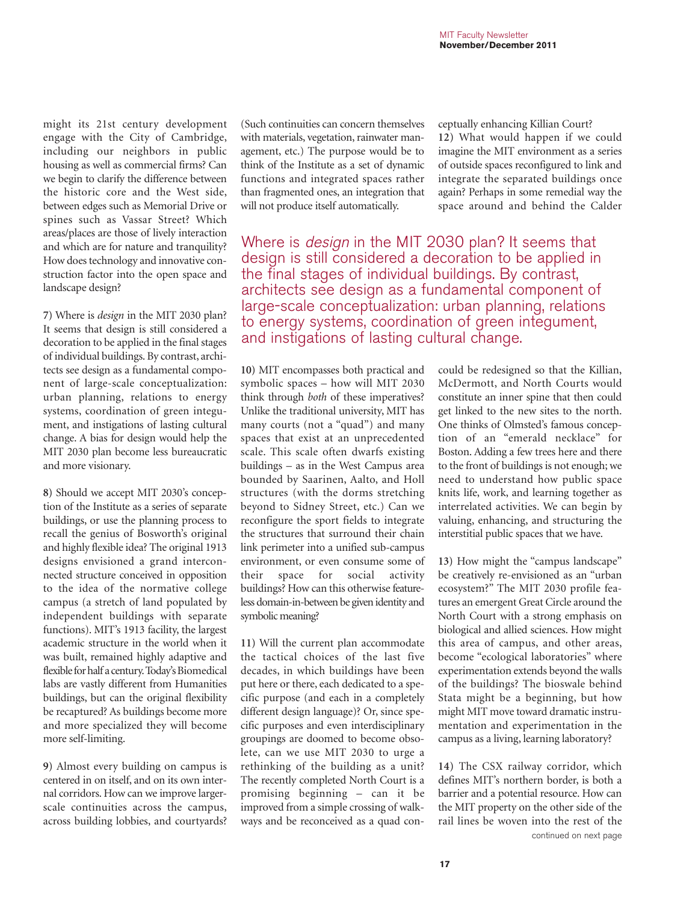might its 21st century development engage with the City of Cambridge, including our neighbors in public housing as well as commercial firms? Can we begin to clarify the difference between the historic core and the West side, between edges such as Memorial Drive or spines such as Vassar Street? Which areas/places are those of lively interaction and which are for nature and tranquility? How does technology and innovative construction factor into the open space and landscape design?

**7)** Where is *design* in the MIT 2030 plan? It seems that design is still considered a decoration to be applied in the final stages of individual buildings. By contrast, architects see design as a fundamental component of large-scale conceptualization: urban planning, relations to energy systems, coordination of green integument, and instigations of lasting cultural change. A bias for design would help the MIT 2030 plan become less bureaucratic and more visionary.

**8)** Should we accept MIT 2030's conception of the Institute as a series of separate buildings, or use the planning process to recall the genius of Bosworth's original and highly flexible idea? The original 1913 designs envisioned a grand interconnected structure conceived in opposition to the idea of the normative college campus (a stretch of land populated by independent buildings with separate functions). MIT's 1913 facility, the largest academic structure in the world when it was built, remained highly adaptive and flexible for half a century. Today's Biomedical labs are vastly different from Humanities buildings, but can the original flexibility be recaptured? As buildings become more and more specialized they will become more self-limiting.

**9)** Almost every building on campus is centered in on itself, and on its own internal corridors. How can we improve largerscale continuities across the campus, across building lobbies, and courtyards? (Such continuities can concern themselves with materials, vegetation, rainwater management, etc.) The purpose would be to think of the Institute as a set of dynamic functions and integrated spaces rather than fragmented ones, an integration that will not produce itself automatically.

ceptually enhancing Killian Court? **12)** What would happen if we could imagine the MIT environment as a series of outside spaces reconfigured to link and integrate the separated buildings once again? Perhaps in some remedial way the space around and behind the Calder

Where is *design* in the MIT 2030 plan? It seems that design is still considered a decoration to be applied in the final stages of individual buildings. By contrast, architects see design as a fundamental component of large-scale conceptualization: urban planning, relations to energy systems, coordination of green integument, and instigations of lasting cultural change.

**10)** MIT encompasses both practical and symbolic spaces – how will MIT 2030 think through *both* of these imperatives? Unlike the traditional university, MIT has many courts (not a "quad") and many spaces that exist at an unprecedented scale. This scale often dwarfs existing buildings – as in the West Campus area bounded by Saarinen, Aalto, and Holl structures (with the dorms stretching beyond to Sidney Street, etc.) Can we reconfigure the sport fields to integrate the structures that surround their chain link perimeter into a unified sub-campus environment, or even consume some of their space for social activity buildings? How can this otherwise featureless domain-in-between be given identity and symbolic meaning?

**11)** Will the current plan accommodate the tactical choices of the last five decades, in which buildings have been put here or there, each dedicated to a specific purpose (and each in a completely different design language)? Or, since specific purposes and even interdisciplinary groupings are doomed to become obsolete, can we use MIT 2030 to urge a rethinking of the building as a unit? The recently completed North Court is a promising beginning – can it be improved from a simple crossing of walkways and be reconceived as a quad con-

could be redesigned so that the Killian, McDermott, and North Courts would constitute an inner spine that then could get linked to the new sites to the north. One thinks of Olmsted's famous conception of an "emerald necklace" for Boston. Adding a few trees here and there to the front of buildings is not enough; we need to understand how public space knits life, work, and learning together as interrelated activities. We can begin by valuing, enhancing, and structuring the interstitial public spaces that we have.

**13)** How might the "campus landscape" be creatively re-envisioned as an "urban ecosystem?" The MIT 2030 profile features an emergent Great Circle around the North Court with a strong emphasis on biological and allied sciences. How might this area of campus, and other areas, become "ecological laboratories" where experimentation extends beyond the walls of the buildings? The bioswale behind Stata might be a beginning, but how might MIT move toward dramatic instrumentation and experimentation in the campus as a living, learning laboratory?

**14)** The CSX railway corridor, which defines MIT's northern border, is both a barrier and a potential resource. How can the MIT property on the other side of the rail lines be woven into the rest of the continued on next page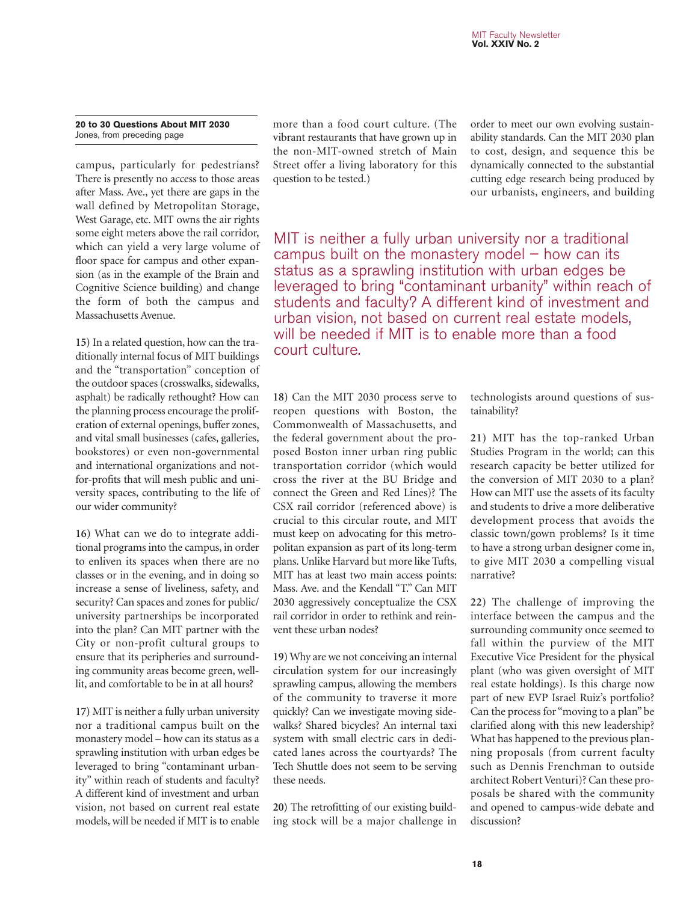### **20 to 30 Questions About MIT 2030** Jones, from preceding page

campus, particularly for pedestrians? There is presently no access to those areas after Mass. Ave., yet there are gaps in the wall defined by Metropolitan Storage, West Garage, etc. MIT owns the air rights some eight meters above the rail corridor, which can yield a very large volume of floor space for campus and other expansion (as in the example of the Brain and Cognitive Science building) and change the form of both the campus and Massachusetts Avenue.

**15)** In a related question, how can the traditionally internal focus of MIT buildings and the "transportation" conception of the outdoor spaces (crosswalks, sidewalks, asphalt) be radically rethought? How can the planning process encourage the proliferation of external openings, buffer zones, and vital small businesses (cafes, galleries, bookstores) or even non-governmental and international organizations and notfor-profits that will mesh public and university spaces, contributing to the life of our wider community?

**16)** What can we do to integrate additional programs into the campus, in order to enliven its spaces when there are no classes or in the evening, and in doing so increase a sense of liveliness, safety, and security? Can spaces and zones for public/ university partnerships be incorporated into the plan? Can MIT partner with the City or non-profit cultural groups to ensure that its peripheries and surrounding community areas become green, welllit, and comfortable to be in at all hours?

**17)** MIT is neither a fully urban university nor a traditional campus built on the monastery model – how can its status as a sprawling institution with urban edges be leveraged to bring "contaminant urbanity" within reach of students and faculty? A different kind of investment and urban vision, not based on current real estate models, will be needed if MIT is to enable

more than a food court culture. (The vibrant restaurants that have grown up in the non-MIT-owned stretch of Main Street offer a living laboratory for this question to be tested.)

order to meet our own evolving sustainability standards. Can the MIT 2030 plan to cost, design, and sequence this be dynamically connected to the substantial cutting edge research being produced by our urbanists, engineers, and building

MIT is neither a fully urban university nor a traditional campus built on the monastery model  $-$  how can its status as a sprawling institution with urban edges be leveraged to bring "contaminant urbanity" within reach of students and faculty? A different kind of investment and urban vision, not based on current real estate models, will be needed if MIT is to enable more than a food court culture.

**18)** Can the MIT 2030 process serve to reopen questions with Boston, the Commonwealth of Massachusetts, and the federal government about the proposed Boston inner urban ring public transportation corridor (which would cross the river at the BU Bridge and connect the Green and Red Lines)? The CSX rail corridor (referenced above) is crucial to this circular route, and MIT must keep on advocating for this metropolitan expansion as part of its long-term plans. Unlike Harvard but more like Tufts, MIT has at least two main access points: Mass. Ave. and the Kendall "T." Can MIT 2030 aggressively conceptualize the CSX rail corridor in order to rethink and reinvent these urban nodes?

**19)** Why are we not conceiving an internal circulation system for our increasingly sprawling campus, allowing the members of the community to traverse it more quickly? Can we investigate moving sidewalks? Shared bicycles? An internal taxi system with small electric cars in dedicated lanes across the courtyards? The Tech Shuttle does not seem to be serving these needs.

**20)** The retrofitting of our existing building stock will be a major challenge in

technologists around questions of sustainability?

**21)** MIT has the top-ranked Urban Studies Program in the world; can this research capacity be better utilized for the conversion of MIT 2030 to a plan? How can MIT use the assets of its faculty and students to drive a more deliberative development process that avoids the classic town/gown problems? Is it time to have a strong urban designer come in, to give MIT 2030 a compelling visual narrative?

**22)** The challenge of improving the interface between the campus and the surrounding community once seemed to fall within the purview of the MIT Executive Vice President for the physical plant (who was given oversight of MIT real estate holdings). Is this charge now part of new EVP Israel Ruiz's portfolio? Can the process for "moving to a plan" be clarified along with this new leadership? What has happened to the previous planning proposals (from current faculty such as Dennis Frenchman to outside architect Robert Venturi)? Can these proposals be shared with the community and opened to campus-wide debate and discussion?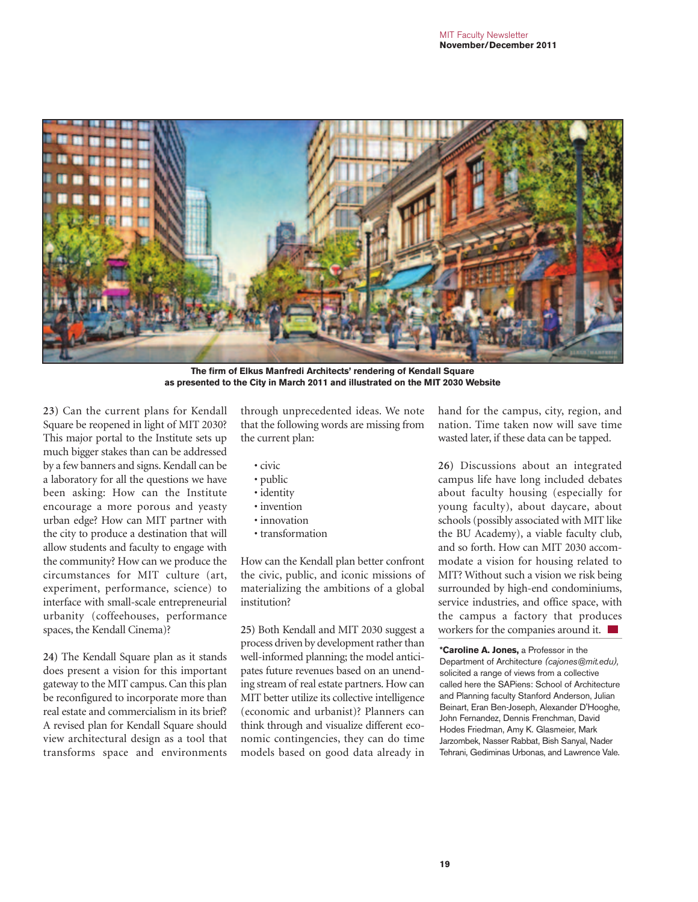

**The firm of Elkus Manfredi Architects' rendering of Kendall Square as presented to the City in March 2011 and illustrated on the MIT 2030 Website**

**23)** Can the current plans for Kendall Square be reopened in light of MIT 2030? This major portal to the Institute sets up much bigger stakes than can be addressed by a few banners and signs. Kendall can be a laboratory for all the questions we have been asking: How can the Institute encourage a more porous and yeasty urban edge? How can MIT partner with the city to produce a destination that will allow students and faculty to engage with the community? How can we produce the circumstances for MIT culture (art, experiment, performance, science) to interface with small-scale entrepreneurial urbanity (coffeehouses, performance spaces, the Kendall Cinema)?

**24)** The Kendall Square plan as it stands does present a vision for this important gateway to the MIT campus. Can this plan be reconfigured to incorporate more than real estate and commercialism in its brief? A revised plan for Kendall Square should view architectural design as a tool that transforms space and environments through unprecedented ideas. We note that the following words are missing from the current plan:

• civic

- public
- identity
- invention
- innovation
- transformation

How can the Kendall plan better confront the civic, public, and iconic missions of materializing the ambitions of a global institution?

**25)** Both Kendall and MIT 2030 suggest a process driven by development rather than well-informed planning; the model anticipates future revenues based on an unending stream of real estate partners. How can MIT better utilize its collective intelligence (economic and urbanist)? Planners can think through and visualize different economic contingencies, they can do time models based on good data already in

hand for the campus, city, region, and nation. Time taken now will save time wasted later, if these data can be tapped.

**26)** Discussions about an integrated campus life have long included debates about faculty housing (especially for young faculty), about daycare, about schools (possibly associated with MIT like the BU Academy), a viable faculty club, and so forth. How can MIT 2030 accommodate a vision for housing related to MIT? Without such a vision we risk being surrounded by high-end condominiums, service industries, and office space, with the campus a factory that produces workers for the companies around it.

**\*Caroline A. Jones,** a Professor in the Department of Architecture *(cajones@mit.edu),* solicited a range of views from a collective called here the SAPiens: School of Architecture and Planning faculty Stanford Anderson, Julian Beinart, Eran Ben-Joseph, Alexander D'Hooghe, John Fernandez, Dennis Frenchman, David Hodes Friedman, Amy K. Glasmeier, Mark Jarzombek, Nasser Rabbat, Bish Sanyal, Nader Tehrani, Gediminas Urbonas, and Lawrence Vale.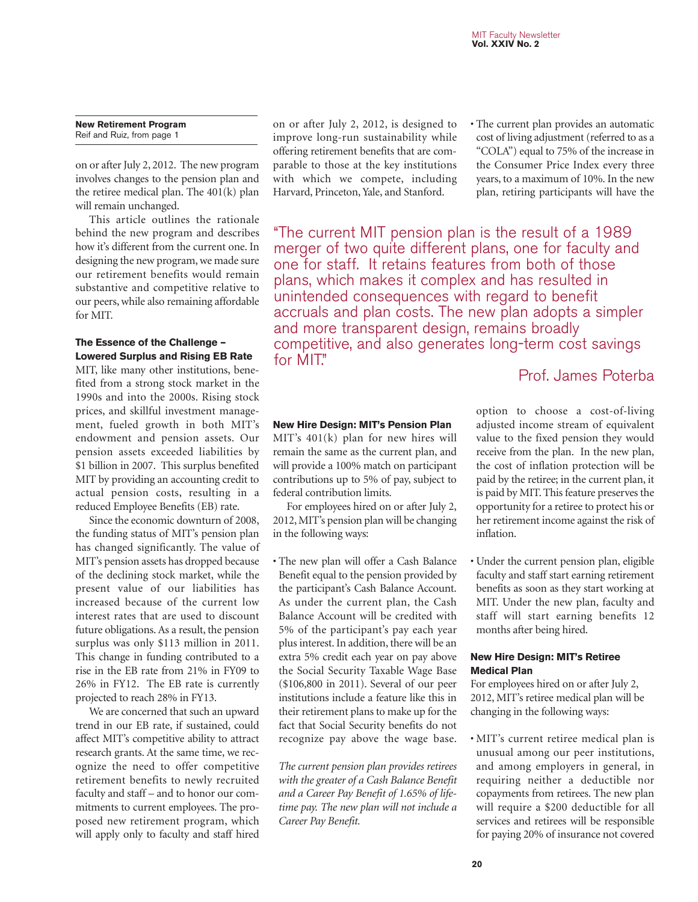**New Retirement Program** Reif and Ruiz, from page 1

on or after July 2, 2012. The new program involves changes to the pension plan and the retiree medical plan. The 401(k) plan will remain unchanged.

This article outlines the rationale behind the new program and describes how it's different from the current one. In designing the new program, we made sure our retirement benefits would remain substantive and competitive relative to our peers, while also remaining affordable for MIT.

### **The Essence of the Challenge – Lowered Surplus and Rising EB Rate**

MIT, like many other institutions, benefited from a strong stock market in the 1990s and into the 2000s. Rising stock prices, and skillful investment management, fueled growth in both MIT's endowment and pension assets. Our pension assets exceeded liabilities by \$1 billion in 2007. This surplus benefited MIT by providing an accounting credit to actual pension costs, resulting in a reduced Employee Benefits (EB) rate.

Since the economic downturn of 2008, the funding status of MIT's pension plan has changed significantly. The value of MIT's pension assets has dropped because of the declining stock market, while the present value of our liabilities has increased because of the current low interest rates that are used to discount future obligations. As a result, the pension surplus was only \$113 million in 2011. This change in funding contributed to a rise in the EB rate from 21% in FY09 to 26% in FY12. The EB rate is currently projected to reach 28% in FY13.

We are concerned that such an upward trend in our EB rate, if sustained, could affect MIT's competitive ability to attract research grants. At the same time, we recognize the need to offer competitive retirement benefits to newly recruited faculty and staff – and to honor our commitments to current employees. The proposed new retirement program, which will apply only to faculty and staff hired on or after July 2, 2012, is designed to improve long-run sustainability while offering retirement benefits that are comparable to those at the key institutions with which we compete, including Harvard, Princeton, Yale, and Stanford.

• The current plan provides an automatic cost of living adjustment (referred to as a "COLA") equal to 75% of the increase in the Consumer Price Index every three years, to a maximum of 10%. In the new plan, retiring participants will have the

"The current MIT pension plan is the result of a 1989 merger of two quite different plans, one for faculty and one for staff. It retains features from both of those plans, which makes it complex and has resulted in unintended consequences with regard to benefit accruals and plan costs. The new plan adopts a simpler and more transparent design, remains broadly competitive, and also generates long-term cost savings for MIT."

### **New Hire Design: MIT's Pension Plan**

MIT's 401(k) plan for new hires will remain the same as the current plan, and will provide a 100% match on participant contributions up to 5% of pay, subject to federal contribution limits.

For employees hired on or after July 2, 2012, MIT's pension plan will be changing in the following ways:

• The new plan will offer a Cash Balance Benefit equal to the pension provided by the participant's Cash Balance Account. As under the current plan, the Cash Balance Account will be credited with 5% of the participant's pay each year plus interest. In addition, there will be an extra 5% credit each year on pay above the Social Security Taxable Wage Base (\$106,800 in 2011). Several of our peer institutions include a feature like this in their retirement plans to make up for the fact that Social Security benefits do not recognize pay above the wage base.

*The current pension plan provides retirees with the greater of a Cash Balance Benefit and a Career Pay Benefit of 1.65% of lifetime pay. The new plan will not include a Career Pay Benefit.*

# Prof. James Poterba

option to choose a cost-of-living adjusted income stream of equivalent value to the fixed pension they would receive from the plan. In the new plan, the cost of inflation protection will be paid by the retiree; in the current plan, it is paid by MIT. This feature preserves the opportunity for a retiree to protect his or her retirement income against the risk of inflation.

• Under the current pension plan, eligible faculty and staff start earning retirement benefits as soon as they start working at MIT. Under the new plan, faculty and staff will start earning benefits 12 months after being hired.

### **New Hire Design: MIT's Retiree Medical Plan**

For employees hired on or after July 2, 2012, MIT's retiree medical plan will be changing in the following ways:

• MIT's current retiree medical plan is unusual among our peer institutions, and among employers in general, in requiring neither a deductible nor copayments from retirees. The new plan will require a \$200 deductible for all services and retirees will be responsible for paying 20% of insurance not covered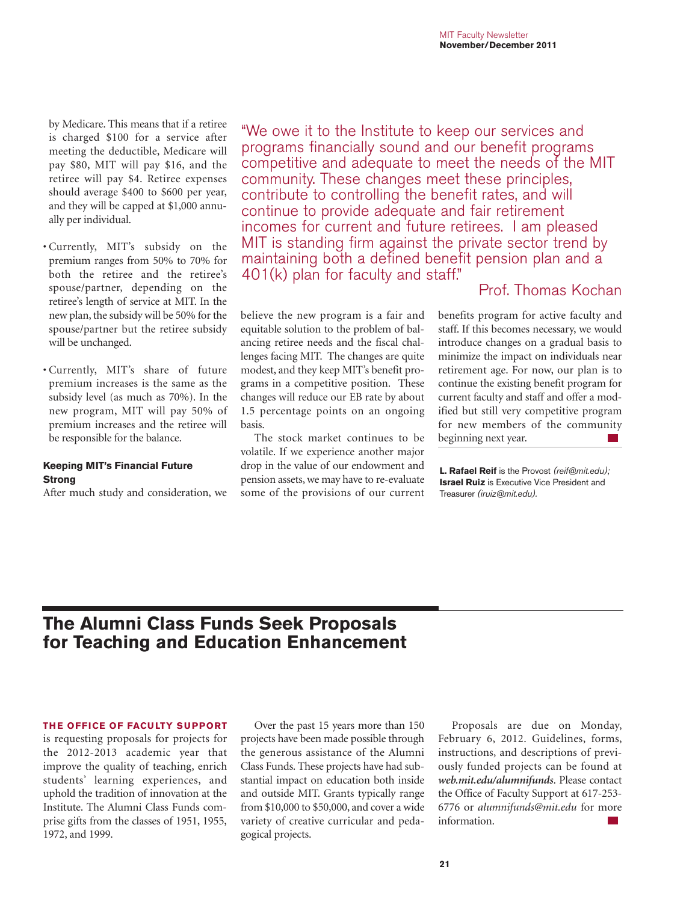by Medicare. This means that if a retiree is charged \$100 for a service after meeting the deductible, Medicare will pay \$80, MIT will pay \$16, and the retiree will pay \$4. Retiree expenses should average \$400 to \$600 per year, and they will be capped at \$1,000 annually per individual.

- Currently, MIT's subsidy on the premium ranges from 50% to 70% for both the retiree and the retiree's spouse/partner, depending on the retiree's length of service at MIT. In the new plan, the subsidy will be 50% for the spouse/partner but the retiree subsidy will be unchanged.
- Currently, MIT's share of future premium increases is the same as the subsidy level (as much as 70%). In the new program, MIT will pay 50% of premium increases and the retiree will be responsible for the balance.

### **Keeping MIT's Financial Future Strong**

After much study and consideration, we

"We owe it to the Institute to keep our services and programs financially sound and our benefit programs competitive and adequate to meet the needs of the MIT community. These changes meet these principles, contribute to controlling the benefit rates, and will continue to provide adequate and fair retirement incomes for current and future retirees. I am pleased MIT is standing firm against the private sector trend by maintaining both a defined benefit pension plan and a 401(k) plan for faculty and staff."

Prof. Thomas Kochan

believe the new program is a fair and equitable solution to the problem of balancing retiree needs and the fiscal challenges facing MIT. The changes are quite modest, and they keep MIT's benefit programs in a competitive position. These changes will reduce our EB rate by about 1.5 percentage points on an ongoing basis.

The stock market continues to be volatile. If we experience another major drop in the value of our endowment and pension assets, we may have to re-evaluate some of the provisions of our current benefits program for active faculty and staff. If this becomes necessary, we would introduce changes on a gradual basis to minimize the impact on individuals near retirement age. For now, our plan is to continue the existing benefit program for current faculty and staff and offer a modified but still very competitive program for new members of the community beginning next year.

**L. Rafael Reif** is the Provost *(reif@mit.edu);* **Israel Ruiz** is Executive Vice President and Treasurer *(iruiz@mit.edu).*

# **The Alumni Class Funds Seek Proposals for Teaching and Education Enhancement**

### **THE OFFICE OF FACULTY SUPPORT**

is requesting proposals for projects for the 2012-2013 academic year that improve the quality of teaching, enrich students' learning experiences, and uphold the tradition of innovation at the Institute. The Alumni Class Funds comprise gifts from the classes of 1951, 1955, 1972, and 1999.

Over the past 15 years more than 150 projects have been made possible through the generous assistance of the Alumni Class Funds. These projects have had substantial impact on education both inside and outside MIT. Grants typically range from \$10,000 to \$50,000, and cover a wide variety of creative curricular and pedagogical projects.

Proposals are due on Monday, February 6, 2012. Guidelines, forms, instructions, and descriptions of previously funded projects can be found at *web.mit.edu/alumnifunds*. Please contact the Office of Faculty Support at 617-253- 6776 or *alumnifunds@mit.edu* for more information.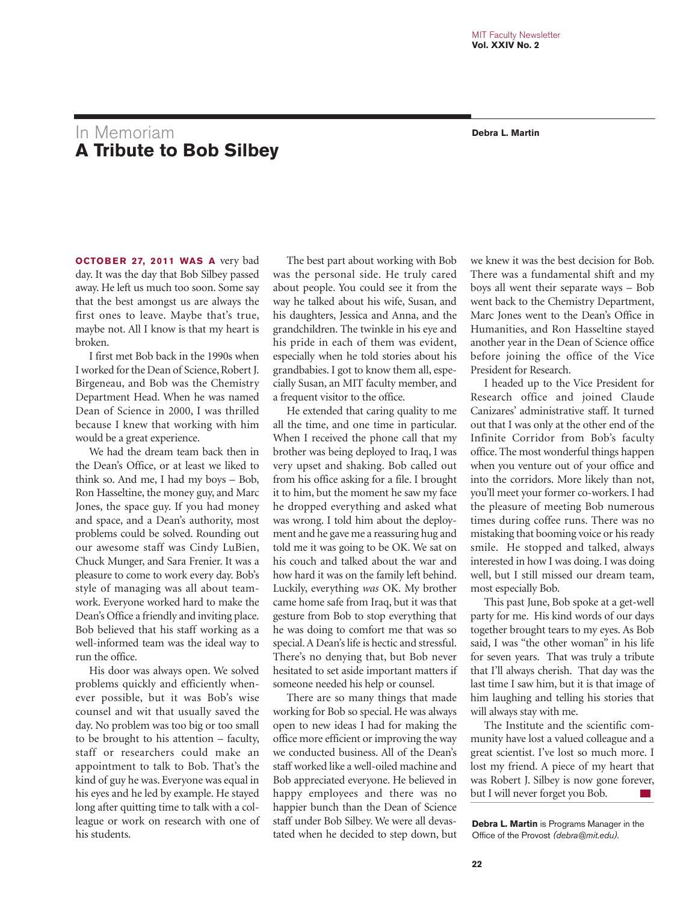# In Memoriam **Debra L. Martin A Tribute to Bob Silbey**

**OCTOBER 27, 2011 WAS A** very bad day. It was the day that Bob Silbey passed away. He left us much too soon. Some say that the best amongst us are always the first ones to leave. Maybe that's true, maybe not. All I know is that my heart is broken.

I first met Bob back in the 1990s when I worked for the Dean of Science, Robert J. Birgeneau, and Bob was the Chemistry Department Head. When he was named Dean of Science in 2000, I was thrilled because I knew that working with him would be a great experience.

We had the dream team back then in the Dean's Office, or at least we liked to think so. And me, I had my boys – Bob, Ron Hasseltine, the money guy, and Marc Jones, the space guy. If you had money and space, and a Dean's authority, most problems could be solved. Rounding out our awesome staff was Cindy LuBien, Chuck Munger, and Sara Frenier. It was a pleasure to come to work every day. Bob's style of managing was all about teamwork. Everyone worked hard to make the Dean's Office a friendly and inviting place. Bob believed that his staff working as a well-informed team was the ideal way to run the office.

His door was always open. We solved problems quickly and efficiently whenever possible, but it was Bob's wise counsel and wit that usually saved the day. No problem was too big or too small to be brought to his attention – faculty, staff or researchers could make an appointment to talk to Bob. That's the kind of guy he was. Everyone was equal in his eyes and he led by example. He stayed long after quitting time to talk with a colleague or work on research with one of his students.

The best part about working with Bob was the personal side. He truly cared about people. You could see it from the way he talked about his wife, Susan, and his daughters, Jessica and Anna, and the grandchildren. The twinkle in his eye and his pride in each of them was evident, especially when he told stories about his grandbabies. I got to know them all, especially Susan, an MIT faculty member, and a frequent visitor to the office.

He extended that caring quality to me all the time, and one time in particular. When I received the phone call that my brother was being deployed to Iraq, I was very upset and shaking. Bob called out from his office asking for a file. I brought it to him, but the moment he saw my face he dropped everything and asked what was wrong. I told him about the deployment and he gave me a reassuring hug and told me it was going to be OK. We sat on his couch and talked about the war and how hard it was on the family left behind. Luckily, everything *was* OK. My brother came home safe from Iraq, but it was that gesture from Bob to stop everything that he was doing to comfort me that was so special. A Dean's life is hectic and stressful. There's no denying that, but Bob never hesitated to set aside important matters if someone needed his help or counsel.

There are so many things that made working for Bob so special. He was always open to new ideas I had for making the office more efficient or improving the way we conducted business. All of the Dean's staff worked like a well-oiled machine and Bob appreciated everyone. He believed in happy employees and there was no happier bunch than the Dean of Science staff under Bob Silbey. We were all devastated when he decided to step down, but

we knew it was the best decision for Bob. There was a fundamental shift and my boys all went their separate ways – Bob went back to the Chemistry Department, Marc Jones went to the Dean's Office in Humanities, and Ron Hasseltine stayed another year in the Dean of Science office before joining the office of the Vice President for Research.

I headed up to the Vice President for Research office and joined Claude Canizares' administrative staff. It turned out that I was only at the other end of the Infinite Corridor from Bob's faculty office. The most wonderful things happen when you venture out of your office and into the corridors. More likely than not, you'll meet your former co-workers. I had the pleasure of meeting Bob numerous times during coffee runs. There was no mistaking that booming voice or his ready smile. He stopped and talked, always interested in how I was doing. I was doing well, but I still missed our dream team, most especially Bob.

This past June, Bob spoke at a get-well party for me. His kind words of our days together brought tears to my eyes. As Bob said, I was "the other woman" in his life for seven years. That was truly a tribute that I'll always cherish. That day was the last time I saw him, but it is that image of him laughing and telling his stories that will always stay with me.

The Institute and the scientific community have lost a valued colleague and a great scientist. I've lost so much more. I lost my friend. A piece of my heart that was Robert J. Silbey is now gone forever, but I will never forget you Bob.

**Debra L. Martin** is Programs Manager in the Office of the Provost *(debra@mit.edu).*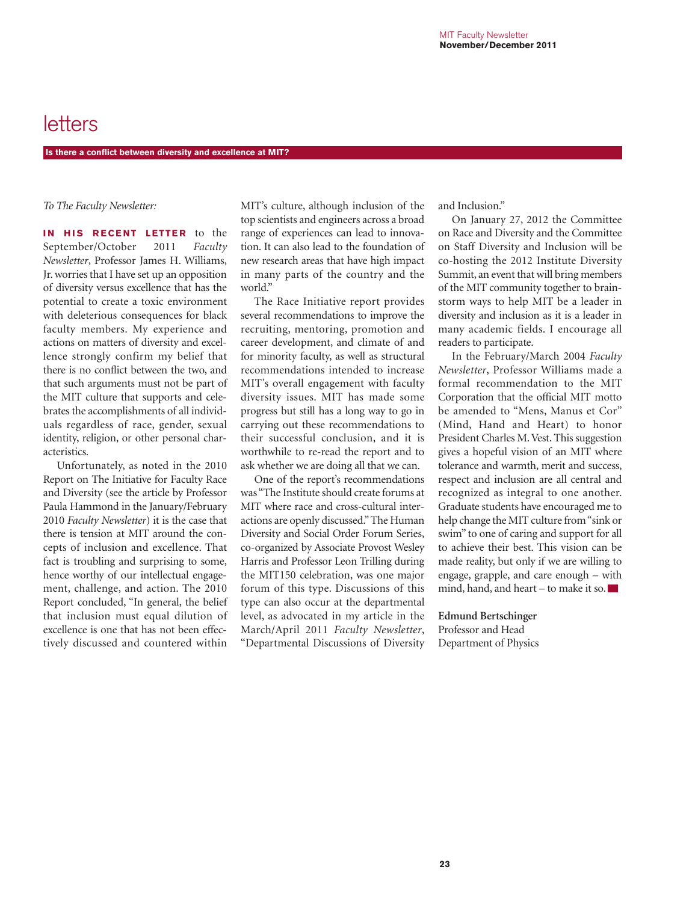# letters

**Is there a conflict between diversity and excellence at MIT?**

*To The Faculty Newsletter:*

**IN HIS RECENT LETTER** to the September/October 2011 *Faculty Newsletter*, Professor James H. Williams, Jr. worries that I have set up an opposition of diversity versus excellence that has the potential to create a toxic environment with deleterious consequences for black faculty members. My experience and actions on matters of diversity and excellence strongly confirm my belief that there is no conflict between the two, and that such arguments must not be part of the MIT culture that supports and celebrates the accomplishments of all individuals regardless of race, gender, sexual identity, religion, or other personal characteristics.

Unfortunately, as noted in the 2010 Report on The Initiative for Faculty Race and Diversity (see the article by Professor Paula Hammond in the January/February 2010 *Faculty Newsletter*) it is the case that there is tension at MIT around the concepts of inclusion and excellence. That fact is troubling and surprising to some, hence worthy of our intellectual engagement, challenge, and action. The 2010 Report concluded, "In general, the belief that inclusion must equal dilution of excellence is one that has not been effectively discussed and countered within

MIT's culture, although inclusion of the top scientists and engineers across a broad range of experiences can lead to innovation. It can also lead to the foundation of new research areas that have high impact in many parts of the country and the world."

The Race Initiative report provides several recommendations to improve the recruiting, mentoring, promotion and career development, and climate of and for minority faculty, as well as structural recommendations intended to increase MIT's overall engagement with faculty diversity issues. MIT has made some progress but still has a long way to go in carrying out these recommendations to their successful conclusion, and it is worthwhile to re-read the report and to ask whether we are doing all that we can.

One of the report's recommendations was "The Institute should create forums at MIT where race and cross-cultural interactions are openly discussed." The Human Diversity and Social Order Forum Series, co-organized by Associate Provost Wesley Harris and Professor Leon Trilling during the MIT150 celebration, was one major forum of this type. Discussions of this type can also occur at the departmental level, as advocated in my article in the March/April 2011 *Faculty Newsletter*, "Departmental Discussions of Diversity and Inclusion."

On January 27, 2012 the Committee on Race and Diversity and the Committee on Staff Diversity and Inclusion will be co-hosting the 2012 Institute Diversity Summit, an event that will bring members of the MIT community together to brainstorm ways to help MIT be a leader in diversity and inclusion as it is a leader in many academic fields. I encourage all readers to participate.

In the February/March 2004 *Faculty Newsletter*, Professor Williams made a formal recommendation to the MIT Corporation that the official MIT motto be amended to "Mens, Manus et Cor" (Mind, Hand and Heart) to honor President Charles M. Vest. This suggestion gives a hopeful vision of an MIT where tolerance and warmth, merit and success, respect and inclusion are all central and recognized as integral to one another. Graduate students have encouraged me to help change the MIT culture from "sink or swim" to one of caring and support for all to achieve their best. This vision can be made reality, but only if we are willing to engage, grapple, and care enough – with mind, hand, and heart – to make it so.

**Edmund Bertschinger**

Professor and Head Department of Physics